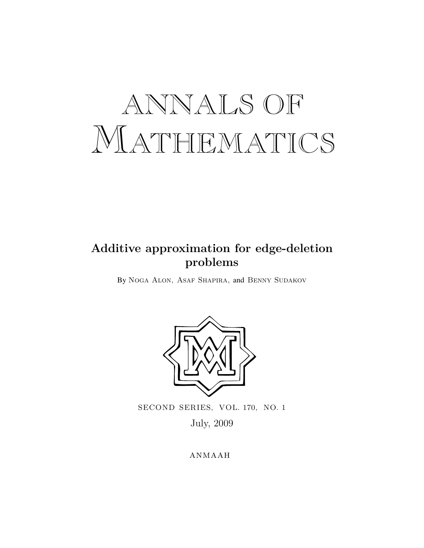# ANNALS OF MATHEMATICS

## **Additive approximation for edge-deletion problems**

By Noga Alon, Asaf Shapira, and Benny Sudakov



SECOND SERIES, VOL. 170, NO. 1

July, 2009

**ANMAAH**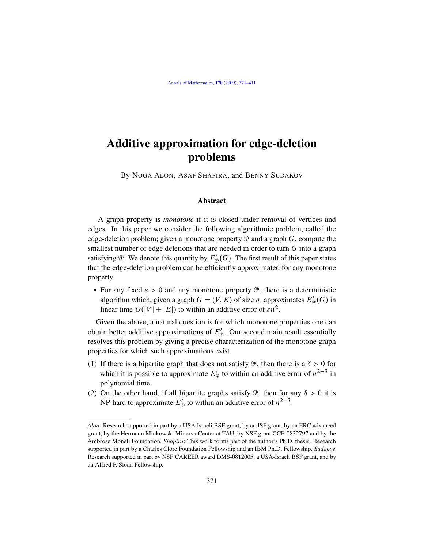## Additive approximation for edge-deletion problems

By NOGA ALON, ASAF SHAPIRA, and BENNY SUDAKOV

#### Abstract

A graph property is *monotone* if it is closed under removal of vertices and edges. In this paper we consider the following algorithmic problem, called the edge-deletion problem; given a monotone property  $\mathcal P$  and a graph G, compute the smallest number of edge deletions that are needed in order to turn G into a graph satisfying  $\mathcal{P}$ . We denote this quantity by  $E_{\mathcal{P}}'(G)$ . The first result of this paper states that the edge-deletion problem can be efficiently approximated for any monotone property.

• For any fixed  $\varepsilon > 0$  and any monotone property  $\mathcal{P}$ , there is a deterministic algorithm which, given a graph  $G = (V, E)$  of size *n*, approximates  $E'_{\mathcal{P}}(G)$  in linear time  $O(|V| + |E|)$  to within an additive error of  $\epsilon n^2$ .

Given the above, a natural question is for which monotone properties one can obtain better additive approximations of  $E'_{\mathcal{P}}$ . Our second main result essentially resolves this problem by giving a precise characterization of the monotone graph properties for which such approximations exist.

- (1) If there is a bipartite graph that does not satisfy  $\mathcal{P}$ , then there is a  $\delta > 0$  for which it is possible to approximate  $E'_{\mathcal{P}}$  to within an additive error of  $n^{2-\delta}$  in polynomial time.
- (2) On the other hand, if all bipartite graphs satisfy  $\mathcal{P}$ , then for any  $\delta > 0$  it is NP-hard to approximate  $E'_{\mathcal{P}}$  to within an additive error of  $n^{2-\delta}$ .

*Alon*: Research supported in part by a USA Israeli BSF grant, by an ISF grant, by an ERC advanced grant, by the Hermann Minkowski Minerva Center at TAU, by NSF grant CCF-0832797 and by the Ambrose Monell Foundation. *Shapira*: This work forms part of the author's Ph.D. thesis. Research supported in part by a Charles Clore Foundation Fellowship and an IBM Ph.D. Fellowship. *Sudakov*: Research supported in part by NSF CAREER award DMS-0812005, a USA-Israeli BSF grant, and by an Alfred P. Sloan Fellowship.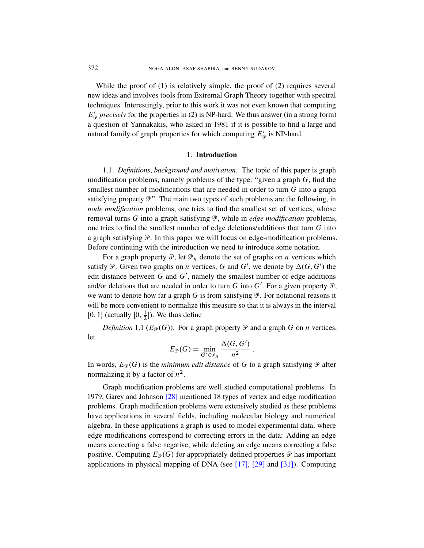<span id="page-2-0"></span>While the proof of (1) is relatively simple, the proof of (2) requires several new ideas and involves tools from Extremal Graph Theory together with spectral techniques. Interestingly, prior to this work it was not even known that computing  $E'_{\mathcal{P}}$  precisely for the properties in (2) is NP-hard. We thus answer (in a strong form) a question of Yannakakis, who asked in 1981 if it is possible to find a large and natural family of graph properties for which computing  $E'_{\mathcal{P}}$  is NP-hard.

#### 1. Introduction

1.1. *Definitions*, *background and motivation.* The topic of this paper is graph modification problems, namely problems of the type: "given a graph  $G$ , find the smallest number of modifications that are needed in order to turn  $G$  into a graph satisfying property  $\mathcal{P}$ ". The main two types of such problems are the following, in *node modification* problems, one tries to find the smallest set of vertices, whose removal turns G into a graph satisfying P, while in *edge modification* problems, one tries to find the smallest number of edge deletions/additions that turn G into a graph satisfying  $\mathcal{P}$ . In this paper we will focus on edge-modification problems. Before continuing with the introduction we need to introduce some notation.

For a graph property  $\mathcal{P}$ , let  $\mathcal{P}_n$  denote the set of graphs on *n* vertices which satisfy  $\mathcal P$ . Given two graphs on *n* vertices, G and G', we denote by  $\Delta(G, G')$  the edit distance between  $G$  and  $G'$ , namely the smallest number of edge additions and/or deletions that are needed in order to turn G into G'. For a given property  $\mathcal{P}$ , we want to denote how far a graph G is from satisfying  $\mathcal P$ . For notational reasons it will be more convenient to normalize this measure so that it is always in the interval [0, 1] (actually  $[0, \frac{1}{2}]$ ). We thus define

*Definition* 1.1 ( $E_{\mathcal{P}}(G)$ ). For a graph property  $\mathcal{P}$  and a graph G on *n* vertices, let

$$
E_{\mathcal{P}}(G) = \min_{G' \in \mathcal{P}_n} \frac{\Delta(G, G')}{n^2}.
$$

In words,  $E_{\mathcal{P}}(G)$  is the *minimum edit distance* of G to a graph satisfying  $\mathcal{P}$  after normalizing it by a factor of  $n^2$ .

Graph modification problems are well studied computational problems. In 1979, Garey and Johnson [28] mentioned 18 types of vertex and edge modification problems. Graph modification problems were extensively studied as these problems have applications in sever[al fi](#page-39-0)el[ds,](#page-40-0) inclu[ding](#page-40-1) molecular biology and numerical algebra. In these applications a graph is used to model experimental data, where edge modifications correspond to correcting errors in the data: Adding an edge means correcting a false negative, while deleting an edge means correcting a false positive. Computing  $E_{\mathcal{P}}(G)$  for appropriately defined properties  $\mathcal{P}$  has important applications in physical mapping of DNA (see [17], [29] and [31]). Computing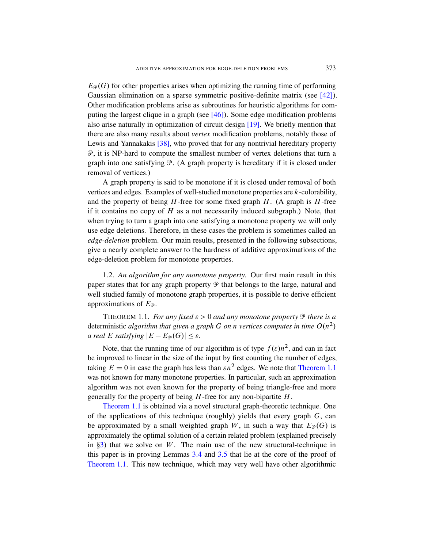$E_{\mathcal{P}}(G)$  for other properties arises when optimizing the running time of performing G[aus](#page-40-2)sian elimination on a sparse symmetric positive-definite matrix (see [42]). Other modification problems arise as subroutines for heuristic algorithms for computing the largest clique in a graph (see  $[46]$ ). Some edge modification problems also arise naturally in optimization of circuit design [19]. We briefly mention that there are also many results about *vertex* modification problems, notably those of Lewis and Yannakakis [38], who proved that for any nontrivial hereditary property P, it is NP-hard to compute the smallest number of vertex deletions that turn a graph into one satisfying  $\mathcal{P}$ . (A graph property is hereditary if it is closed under removal of vertices.)

A graph property is said to be monotone if it is closed under removal of both vertices and edges. Examples of well-studied monotone properties are k-colorability, and the property of being  $H$ -free for some fixed graph  $H$ . (A graph is  $H$ -free if it contains no copy of  $H$  as a not necessarily induced subgraph.) Note, that when trying to turn a graph into one satisfying a monotone property we will only use edge deletions. Therefore, in these cases the problem is sometimes called an *edge-deletion* problem. Our main results, presented in the following subsections, give a nearly complete answer to the hardness of additive approximations of the edge-deletion problem for monotone properties.

<span id="page-3-0"></span>1.2. *An algorithm for any monotone property.* Our first main result in this paper states that for any graph property  $\mathcal P$  that belongs to the large, natural and well studied family of monotone graph properties, it is possible to derive efficient approximations of  $E_{\mathcal{P}}$ .

THEOREM 1.1. *For any fixed*  $\varepsilon > 0$  *and a[ny monotone](#page-3-0) property*  $\mathcal{P}$  *there is a* deterministic *algorithm that given a graph* G *on n vertices computes in time*  $O(n^2)$ *a real E satisfying*  $|E - E_{\mathcal{P}}(G)| \leq \varepsilon$ *.* 

Note, that the running time of our algorithm is of type  $f(\varepsilon)n^2$ , and can in fact be improved to linear in the size of the input by first counting the number of edges, taking  $E = 0$  in case the graph has less than  $\epsilon n^2$  edges. We note that Theorem 1.1 was not known for many monotone properties. In particular, such an approximation algorithm was not even known for the property of being triangle-free and more generally for the property of being  $H$ -free for any non-bipartite  $H$ .

Theorem [1.](#page-13-0)1 is [obta](#page-14-0)ined via a novel structural graph-theoretic technique. One of the applications of this technique (roughly) yields that every graph  $G$ , can be approximated by a small weighted graph W, in such a way that  $E_{\mathcal{P}}(G)$  is approximately the optimal solution of a certain related problem (explained precisely in  $\S$ 3) that we solve on W. The main use of the new structural-technique in this paper is in proving Lemmas 3.4 and 3.5 that lie at the core of the proof of Theorem 1.1. This new technique, which may very well have other algorithmic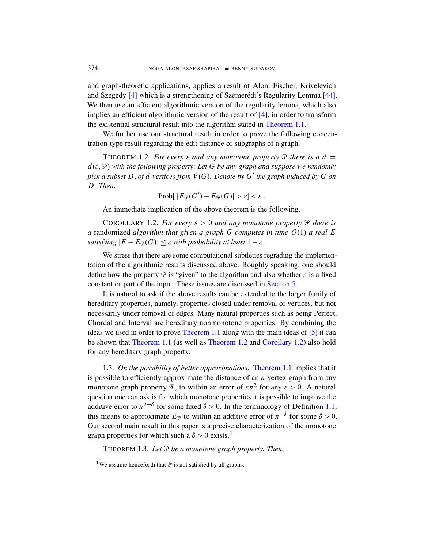<span id="page-4-0"></span>and graph-theoretic applications, applies a result of Alon, Fischer, Krivelevich and Szegedy  $[4]$  which is a strengthening of Szemerédi's Regularity Lemma  $[44]$ . We then use an efficient algorithmic version of the regularity lemma, which also implies an efficient algorithmic version of the result of  $[4]$ , in order to transform the existential structural result into the algorithm stated in Theorem 1.1.

We further use our structural result in order to prove the following concentration-type result regarding the edit distance of subgraphs of a graph.

<span id="page-4-1"></span>THEOREM 1.2. *For every*  $\varepsilon$  *and any monotone property*  $\mathcal{P}$  *there is a d =*  $d(\varepsilon, \mathcal{P})$  with the following property: Let G be any graph and suppose we randomly *pick a subset* D, *of d vertices from*  $V(G)$ *. Denote by* G' the graph induced by G *on* D*. Then*,

$$
Prob[ |E_{\mathcal{P}}(G') - E_{\mathcal{P}}(G)| > \varepsilon ] < \varepsilon .
$$

An immediate implication of the above theorem is the following,

COROLLARY 1.2. *For every*  $\varepsilon > 0$  *and any monotone property*  $\mathcal{P}$  *there is a* randomized *algorithm that given [a graph](#page-20-0)* G *computes in time*  $O(1)$  *a real* E *satisfying*  $|E - E_{\mathcal{P}}(G)| \leq \varepsilon$  *with probability at least*  $1 - \varepsilon$ *.* 

We stress that there are some computational subtleties regrading the implementation of the algorithmic results discussed above. Roughly speaking, one should define how the property  $\mathcal P$  is "given" to the algorithm and also whether  $\varepsilon$  is a fixed constant [or part of the](#page-3-0) input. These issues are discu[ss](#page-38-1)ed in Section 5.

[It](#page-3-0) is natural t[o ask if the ab](#page-4-0)ove [results can be](#page-4-1) extended to the larger family of hereditary properties, namely, properties closed under removal of vertices, but not necessarily under removal of edges. Many natural properties such as being Perfect, Chordal and Interval are heredi[tary nonmono](#page-3-0)tone properties. By combining the ideas we used in order to prove Theorem 1.1 along with the main ideas of [5] it can be shown that Theorem 1.1 (as well as Theorem 1.2 and Corollary 1.2) also hold for any hereditary graph property.

<span id="page-4-3"></span><span id="page-4-2"></span>1.3. *On the possibility of better approximations.* Theorem 1.1 implies that it is possible to efficiently approximate the distance of an  $n$  vertex graph from any monotone graph proper[ty](#page-4-2)  $\mathcal{P}$ , to within an error of  $\epsilon n^2$  for any  $\epsilon > 0$ . A natural question one can ask is for which monotone properties it is possible to improve the additive error to  $n^{2-\delta}$  for some fixed  $\delta > 0$ . In the terminology of Definition 1.1, this means to approximate  $E_{\mathcal{P}}$  to within an additive error of  $n^{-\delta}$  for some  $\delta > 0$ . Our second main result in this paper is a precise characterization of the monotone graph properties for which such a  $\delta > 0$  exists.<sup>1</sup>

THEOREM 1.3. *Let* P *be a monotone graph property. Then*,

<sup>&</sup>lt;sup>1</sup>We assume henceforth that  $\mathcal P$  is not satisfied by all graphs.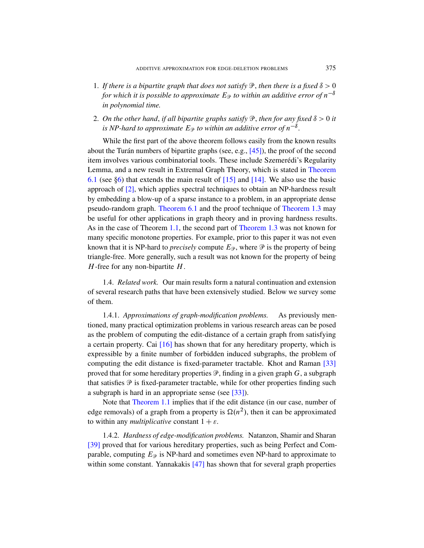- 1. If there is a bipartite graph that does not satisfy  $\mathcal{P}$ , then there is a fixed  $\delta > 0$ *for which it is possible to a[ppr](#page-41-1)oximate*  $E_{\mathcal{P}}$  *to within an additive error of*  $n^{-\delta}$ *in polynomial time.*
- 2. On the other hand, if all bipartite graphs satisfy  $\mathcal{P}$ , [then](#page-23-0) for any fixed  $\delta > 0$  it is NP-hard to app[roxi](#page-39-2)mate  $E_{\mathcal{P}}$  $E_{\mathcal{P}}$  $E_{\mathcal{P}}$  to within an additive error of  $n^{-\delta}$ .

While the first part of the above theorem follows easily from the known results about the Turán numbers of bipartite graphs (see, e.g.,  $[45]$ ), the proof of the second it[em involves v](#page-23-0)arious combinatorial tools[. These includ](#page-4-3)e Szemerédi's Regularity Lemma, and a new result in Extremal Graph Theory, which is stated in Theorem 6.1 ([see](#page-3-0)  $\S6$ ) that extends th[e main result](#page-4-3) of [15] and [14]. We also use the basic approach of [2], which applies spectral techniques to obtain an NP-hardness result by embedding a blow-up of a sparse instance to a problem, in an appropriate dense pseudo-random graph. Theorem 6.1 and the proof technique of Theorem 1.3 may be useful for other applications in graph theory and in proving hardness results. As in the case of Theorem 1.1, the second part of Theorem 1.3 was not known for many specific monotone properties. For example, prior to this paper it was not even known that it is NP-hard to *precisely* compute  $E_{\mathcal{P}}$ , where  $\mathcal{P}$  is the property of being triangle-free. More generally, such a result was not known for the property of being  $H$ -free for any non-bipartite  $H$ .

1.4. *Related work.* Our main results form a natural continuation and extension of [sev](#page-39-4)eral research paths that have been extensively studied. Below we survey some of them.

1.4.1. *Approximations of graph-modification proble[ms.](#page-40-3)* As previously mentioned, many practical optimization problems in various research areas can be posed as the problem of computing the edit-distance of a certain graph from satisfying a certain property. Cai [1[6\]](#page-40-3) has shown that for any hereditary property, which is [expres](#page-3-0)sible by a finite number of forbidden induced subgraphs, the problem of computing the edit distance is fixed-parameter tractable. Khot and Raman [33] proved that for some hereditary properties  $\mathcal{P}$ , finding in a given graph G, a subgraph that satisfies  $\mathcal P$  is fixed-parameter tractable, while for other properties finding such a subgraph is hard in an appropriate sense (see [33]).

Note that Theorem 1.1 implies that if the edit distance (in our case, number of edge remova[ls\) o](#page-41-2)f a graph from a property is  $\Omega(n^2)$ , then it can be approximated to within any *multiplicative* constant  $1 + \varepsilon$ .

1.4.2. *Hardness of edge-modification problems.* Natanzon, Shamir and Sharan [39] proved that for various hereditary properties, such as being Perfect and Comparable, computing  $E_{\mathcal{P}}$  is NP-hard and sometimes even NP-hard to approximate to within some constant. Yannakakis  $[47]$  has shown that for several graph properties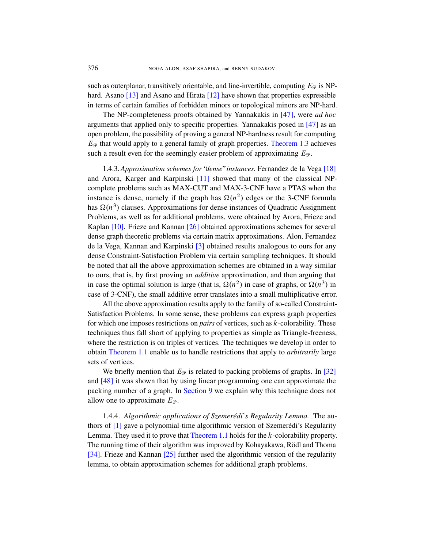such as outerplanar, transitively orientable, and line-invertible, computing  $E_{\mathcal{P}}$  is NPhard. Asano [13] and Asano and Hirata [12] [have sho](#page-4-3)wn that properties expressible in terms of certain families of forbidden minors or topological minors are NP-hard.

The NP-completeness proofs obtained by Yannak[akis](#page-39-5) in [47], were *ad hoc* arguments that [app](#page-39-6)lied only to specific properties. Yannakakis posed in [47] as an open problem, the possibility of proving a general NP-hardness result for computing  $E_{\mathcal{P}}$  that would apply to a general family of graph properties. Theorem 1.3 achieves such a result even for the seemingly easier problem of approximating  $E_{\mathcal{P}}$ .

1.4.3. *Approximation schemes for* "*dense*"*instances.* Fernandez de la Vega [18] and Arora, [Ka](#page-39-7)rger and Karpinski [11] showed that many of the classical NPcomplete problems such as MAX-CUT and MAX-3-CNF have a PTAS when the i[ns](#page-38-2)tance is dense, namely if the graph has  $\Omega(n^2)$  edges or the 3-CNF formula has  $\Omega(n^3)$  clauses. Approximations for dense instances of Quadratic Assignment Problems, as well as for additional problems, were obtained by Arora, Frieze and Kaplan [10]. Frieze and Kannan [26] obtained approximations schemes for several dense graph theoretic problems via certain matrix approximations. Alon, Fernandez de la Vega, Kannan and Karpinski [3] obtained results analogous to ours for any dense Constraint-Satisfaction Problem via certain sampling techniques. It should be noted that all the above approximation schemes are obtained in a way similar to ours, that is, by first proving an *additive* approximation, and then arguing that in case the optimal solution is large (that is,  $\Omega(n^2)$  in case of graphs, or  $\Omega(n^3)$  in case of 3-CNF), the small additive error translates into a small multiplicative error.

All the above approximation results apply to the family of so-called Constraint-Satisfaction Problems. In some sense, these problems can express graph properties for which one imposes restrictions on *pairs* of vertices, su[ch a](#page-40-4)s k-colorability. These techniques thus fall short of applying to properties as simple as Triangle-freeness, where the [restriction](#page-37-0) is on triples of vertices. The techniques we develop in order to obtain Theorem 1.1 enable us to handle restrictions that apply to *arbitrarily* large sets of vertices.

We briefly mention that  $E_{\mathcal{P}}$  is related to packing problems of graphs. In [32] and [48] it [was shown th](#page-3-0)at by using linear programming one can approximate the packing number of a graph. In Section 9 we explain why this technique does not allo[w o](#page-39-8)ne to approximate  $E_{\mathcal{P}}$ .

1.4.4. *Algorithmic applications of Szemerédi*'*s Regularity Lemma.* The authors of  $[1]$  gave a polynomial-time algorithmic version of Szemerédi's Regularity Lemma. They used it to prove that Theorem 1.1 holds for the k-colorability property. The running time of their algorithm was improved by Kohayakawa, Rödl and Thoma [34]. Frieze and Kannan [25] further used the algorithmic version of the regularity lemma, to obtain approximation schemes for additional graph problems.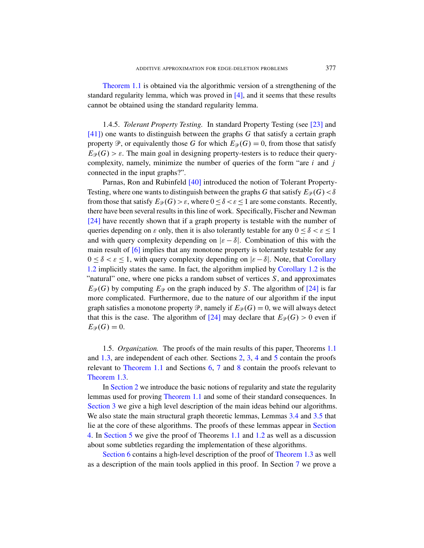Theorem 1.1 is obtained via the algorithmic version of a strengthening of the standard regularity lemma, which was proved in [4], and it seems that these results cannot be obtained using the standard regularity lemma.

1.4.5. *Tolerant Property Testing.* In standard Property Testing (see [23] and  $[41]$ ) one w[ants](#page-40-5) to distinguish between the graphs G that satisfy a certain graph property  $\mathcal P$ , or equivalently those G for which  $E_{\mathcal P}(G) = 0$ , from those that satisfy  $E_{\mathcal{P}}(G) > \varepsilon$ . The main goal in designing property-testers is to reduce their querycomplexity, namely, minimize the number of queries of the form "are  $i$  and  $j$ connected in the input graphs?".

Parnas, Ron and Rubinfeld [40] introduced the notion of Tolerant Property-Testing, where one wants to distinguish between the graphs G that satisfy  $E_{\mathcal{P}}(G) < \delta$ from those that satisfy  $E_{\mathcal{P}}(G) > \varepsilon$ , where  $0 \le \delta < \varepsilon \le 1$  are some constants. Recently, there have been several results in this line of work. [Specifically,](#page-4-1) Fischer and Newman [24] have recently shown that if a grap[h property is te](#page-4-1)stable with the number of queries depending on  $\varepsilon$  only, then it is also tolerantly testable for any  $0 \le \delta < \varepsilon \le 1$ and with query complexity depending on  $|\varepsilon - \delta|$ . [Co](#page-39-10)mbination of this with the main result of [6] implies that any monotone property is tolerantly testable for any  $0 \leq \delta < \varepsilon \leq 1$ , with query complexity depending on  $|\varepsilon - \delta|$ . Note, that Corollary 1.2 implicitly state[s th](#page-39-10)e same. In fact, the algorithm implied by Corollary 1.2 is the "natural" one, where one picks a random subset of vertices  $S$ , and approximates  $E_{\mathcal{P}}(G)$  by computing  $E_{\mathcal{P}}$  on the graph induced by S. The algorithm of [24] is far more complicated. Furthermore, due to the nature of o[ur a](#page-3-0)lgorithm if the input graph satisfies a monotone p[ro](#page-8-0)[per](#page-11-0)[ty](#page-14-1)  $\mathcal P$ , [nam](#page-20-0)ely if  $E_{\mathcal P}(G) = 0$ , we will always detect [that](#page-3-0) this is the ca[se](#page-22-0). [T](#page-25-0)he [alg](#page-33-0)orithm of [24] may declare that  $E_{\mathcal{P}}(G) > 0$  even if  $E_{\mathcal{P}}(G) = 0.$ 

1.5. *[Organ](#page-3-0)ization.* The proofs of the main results of this paper, Theorems 1.1 and 1.3, are independent of each other. Sections 2, 3, 4 and 5 contain the proofs relevant to Theorem 1.1 and Sections 6, 7 [and](#page-13-0) 8 c[onta](#page-14-0)in the proofs relevant to Theorem 1.3.

In Section 2 we intro[duce](#page-3-0) the [bas](#page-4-0)ic notions of regularity and state the regularity lemmas used for proving Theorem 1.1 and some of their standard consequences. In Section 3 we give a high level descripti[on of the main](#page-4-3) ideas behind our algorithms. We also state the main structural graph theoreti[c l](#page-25-0)emmas, Lemmas 3.4 and 3.5 that lie at the core of these algorithms. The proofs of these lemmas appear in Section 4. In Section 5 we give the proof of Theorems 1.1 and 1.2 as well as a discussion about some subtleties regarding the implementation of these algorithms.

Section 6 contains a high-level description of the proof of Theorem 1.3 as well as a description of the main tools applied in this proof. In Section 7 we prove a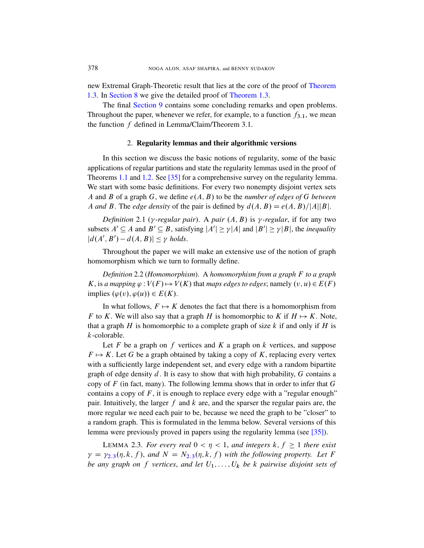<span id="page-8-0"></span>new Extremal Graph-Theoretic result that lies at the core of the proof of Theorem 1.3. In Section 8 we give the detailed proof of Theorem 1.3.

The final Section 9 contains some concluding remarks and open problems. Throughout the paper, whenever we refer, for example, to a function  $f_{3,1}$ , we mean the f[unct](#page-40-6)ion f defined in Lemma/Claim/Theorem 3.1.

#### 2. Regularity lemmas and their algorithmic versions

In this section we discuss the basic notions of regularity, some of the basic applications of regular partitions and state the regularity lemmas used in the proof of Theorems 1.1 and 1.2. See [35] for a comprehensive survey on the regularity lemma. We start with some basic definitions. For every two nonempty disjoint vertex sets A and B of a graph G, we define  $e(A, B)$  to be the *number of edges of* G *between* A and B. The *edge density* of the pair is defined by  $d(A, B) = e(A, B)/|A||B|$ .

*Definition* 2.1 ( $\gamma$ -regular pair). A pair  $(A, B)$  is  $\gamma$ -regular, if for any two subsets  $A' \subseteq A$  and  $B' \subseteq B$ , satisfying  $|A'| \ge \gamma |A|$  and  $|B'| \ge \gamma |B|$ , the *inequality*  $|d(A', B') - d(A, B)| \leq \gamma$  holds.

Throughout the paper we will make an extensive use of the notion of graph homomorphism which we turn to formally define.

*Definition* 2.2 (*Homomorphism*). A *homomorphism from a graph* F *to a graph* K, is *a mapping*  $\varphi : V(F) \mapsto V(K)$  that *maps edges* to edges; namely  $(v, u) \in E(F)$ implies  $(\varphi(v), \varphi(u)) \in E(K)$ .

In what follows,  $F \mapsto K$  denotes the fact that there is a homomorphism from F to K. We will also say that a graph H is homomorphic to K if  $H \mapsto K$ . Note, that a graph  $H$  is homomorphic to a complete graph of size  $k$  if and only if  $H$  is k-colorable.

<span id="page-8-1"></span>Let F be a graph on  $f$  vertices and  $K$  a graph on  $k$  vertices, and suppose  $F \mapsto K$ . Let G be a graph obtained by taking a copy of K, replacing every vertex with a sufficiently large independent set, and every edge with a random bipartite graph of edge density d. It is easy to show that with high probability,  $G$  contains a copy of  $F$  (in fact, many). The following lemma sho[ws t](#page-40-6)hat in order to infer that  $G$ contains a copy of  $F$ , it is enough to replace every edge with a "regular enough" pair. Intui[tive](#page-8-1)ly, the larger  $f$  and  $k$  are, and the sparser the regular pairs are, the more regular we need each pair to be, because we need the graph to be "closer" to a random graph. This is formulated in the lemma below. Several versions of this lemma were previously proved in papers using the regularity lemma (see [35]).

LEMMA 2.3. For every real  $0 < \eta < 1$ , and integers  $k, f \ge 1$  there exist  $\gamma = \gamma_{2,3}(\eta, k, f)$ , and  $N = N_{2,3}(\eta, k, f)$  with the following property. Let F *be any graph on* f *vertices, and let*  $U_1, \ldots, U_k$  *be* k *pairwise disjoint sets of*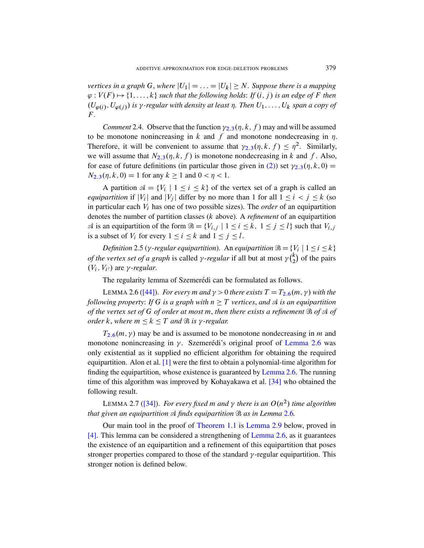<span id="page-9-4"></span>*vertices in a graph* G, *where*  $|U_1| = \ldots = |U_k| \geq N$ . Suppose there is a mapping  $\varphi : V(F) \mapsto \{1, \ldots, k\}$  such t[hat t](#page-8-1)he following holds: If  $(i, j)$  is an edge of F then  $(U_{\varphi(i)}, U_{\varphi(j)})$  is y-regular with density at least  $\eta$ . Then  $U_1, \ldots, U_k$  span a copy of F *.*

*Comment* 2.4. Observe that the function  $\gamma_{2,3}(\eta, k, f)$  may and will be assumed to be monotone nonincreasing in k and f and monotone nondecreasing in  $\eta$ . Therefore, it will be convenient to assume that  $\gamma_{2,3}(\eta, k, f) \leq \eta^2$ . Similarly, we will assume that  $N_{2,3}(\eta, k, f)$  is monotone nondecreasing in k and f. Also, for ease of future definitions (in particular those given in (2)) set  $\gamma_{2,3}(\eta, k, 0) =$  $N_{2,3}(\eta, k, 0) = 1$  for any  $k \ge 1$  and  $0 < \eta < 1$ .

<span id="page-9-2"></span>A partition  $\mathcal{A} = \{V_i \mid 1 \leq i \leq k\}$  of the vertex set of a graph is called an *equipartition* if  $|V_i|$  and  $|V_j|$  differ by no more than 1 for all  $1 \le i \le j \le k$  (so in particular each V<sup>i</sup> has one of two possible sizes). The *order* of an equipartition denotes the number of partition classes (k above). A *refinement* of an equipartition  $\mathcal A$  is an equipartition of the form  $\mathcal B = \{V_{i,j} \mid 1 \le i \le k, 1 \le j \le l\}$  such that  $V_{i,j}$ is a subset of  $V_i$  for every  $1 \le i \le k$  and  $1 \le j \le l$ .

<span id="page-9-0"></span>*Definition* 2.5 ( $\gamma$ -regular equipartition[\).](#page-9-0) An equipartition  $\mathcal{B} = \{V_i \mid 1 \le i \le k\}$ *of the vertex set of a graph* is called  $\gamma$ -regular if all but at most  $\gamma(\frac{k}{2})$  $_{2}^{k}$ ) of the pairs  $(V_i, V_{i'})$  are  $\gamma$ -regular.

The regularity lemma of Szemerédi can be formulated as follows.

LEMMA 2.6 ([44]). *For every m and*  $\gamma > 0$  *[there exis](#page-9-0)ts*  $T = T_{2.6}(m, \gamma)$  *with the following property: If G is a graph with*  $n \geq T$  *vertices, and*  $\mathcal A$  *is an equipartition of t[he](#page-38-3) vertex set of* G *of order at most* m, *then there exists a refinement* B *of* A *of order k*, *where*  $m \leq k \leq T$  *and*  $\Re$  *is*  $\gamma$ [-regular.](#page-9-0)

<span id="page-9-3"></span> $T_{2.6}(m, \gamma)$  may be and is assum[ed to](#page-40-7) be monotone nondecreasing in m and monotone nonincreasing in  $\gamma$ . Szemerédi's original proof of Lemma 2.6 was [o](#page-40-7)nly existential as it supplied no efficient algorithm for obtaining the required equipartition. Alon et al.  $[1]$  were the first t[o obt](#page-9-0)ain a polynomial-time algorithm for finding the eq[uipartition, who](#page-3-0)s[e existence is](#page-10-0) guaranteed by Lemma 2.6. The running time of this algorithm was impr[oved by Koh](#page-9-0)ayakawa et al. [34] who obtained the following result.

LEMMA 2.7 ([34]). For every fixed m and  $\gamma$  there is an  $O(n^2)$  time algorithm *that given an equipartition* A *finds equipartition* B *as in Lemma* 2.6*.*

<span id="page-9-1"></span>Our main tool in the proof of Theorem 1.1 is Lemma 2.9 below, proved in [4]. This lemma can be considered a strengthening of Lemma 2.6, as it guarantees the existence of an equipartition and a refinement of this equipartition that poses stronger properties compared to those of the standard  $\gamma$ -regular equipartition. This stronger notion is defined below.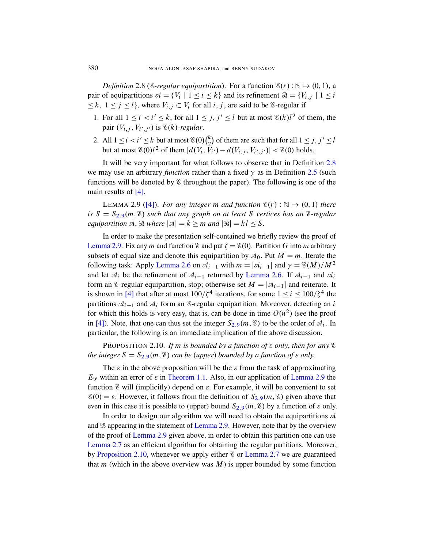*Definition* 2.8 (*C-regular equipartition*). For a function  $\mathscr{E}(r)$ :  $\mathbb{N} \mapsto (0, 1)$ , a pair of equipartitions  $\mathcal{A} = \{V_i \mid 1 \le i \le k\}$  and its refinement  $\mathcal{B} = \{V_{i,j} \mid 1 \le i$  $\leq k$ ,  $1 \leq j \leq l$ , where  $V_{i,j} \subset V_i$  for all i, j, are said to be *E*-regular if

- 1. For all  $1 \le i \le i' \le k$ , for all  $1 \le j, j' \le l$  [but a](#page-9-2)t [most](#page-9-1)  $\mathcal{E}(k)l^2$  of them, the pair  $(V_{i,j}, V_{i',j'})$  is  $\mathscr{E}(k)$ -*regular*.
- 2. All  $1 \le i \le i' \le k$  but at most  $\mathcal{E}(0)\binom{k}{2}$  $\binom{k}{2}$  of them are such that for all  $1 \leq j, j' \leq l$ but at most  $\mathcal{E}(0)l^2$  of them  $|d(V_i, V_{i'}) - d(V_{i,j}, V_{i',j'})| < \mathcal{E}(0)$  holds.

<span id="page-10-0"></span>It will be very important for what follows to observe that in Definition 2.8 we may use an arbitrary *function* rather than a fixed  $\gamma$  as in Definition 2.5 (such functions will be denoted by  $\mathscr E$  throughout the paper). The following is one of the main results of [4].

LEMMA 2.9 ([4]). *For any integer m and function*  $\mathscr{E}(r) : \mathbb{N} \mapsto (0, 1)$  *there is*  $S = S_{2.9}(m, \mathcal{E})$  *such that any graph on at least* S *vertices has an*  $\mathcal{E}$ *-regular equipartition*  $\mathcal{A}, \mathcal{B}$  *where*  $|\mathcal{A}| = k \geq m$  *[and](#page-9-0)*  $|\mathcal{B}| = kl \leq S$ *.* 

<span id="page-10-1"></span>In order to make the presentation self-contained we briefly review the proof of Lemma 2.9. Fix any m and function  $\mathscr E$  and put  $\zeta = \mathscr E(0)$ . Partition G into m arbitrary subsets of equal size and denote this equipartition by  $\mathcal{A}_0$ . Put  $M = m$ . Iterate the following task: Apply Lemma 2.6 on  $\mathcal{A}_{i-1}$  with  $m = |\mathcal{A}_{i-1}|$  and  $\gamma = \mathcal{E}(M)/M^2$ and let  $A_i$  be the refine[men](#page-10-0)t of  $A_{i-1}$  returned by Lemma 2.6. If  $A_{i-1}$  and  $A_i$ form an *E*-regular equipartition, stop; otherwise set  $M = |\mathcal{A}_{i-1}|$  and reiterate. It is shown in [4] that after at most  $100/\zeta^4$  iterations, for some  $1 \le i \le 100/\zeta^4$  the partitions  $A_{i-1}$  and  $A_i$  form an *E*-regular equipartition. Moreover, detecting an i for which this holds is very easy, that is, can be done in time  $O(n^2)$  (see the proof in [[4\]\). Note, that](#page-3-0) one can thus set the integer  $S_{2,9}(m, \mathcal{E})$  to be the order of  $\mathcal{A}_i$ . In particular, the following is an immediate im[plication of t](#page-10-0)he above discussion.

**PROPOSITION 2.10.** If m i[s bo](#page-10-0)unded by a function of  $\varepsilon$  only, then for any  $\varepsilon$ *the integer*  $S = S_{2,9}(m, \mathcal{E})$  *[can](#page-10-0) be (upper) bounded by a function of*  $\epsilon$  *only.* 

The  $\varepsilon$  in the above proposition will be the  $\varepsilon$  from the task of approximating  $E_{\mathcal{P}}$  within an [error of](#page-10-0)  $\varepsilon$  in Theorem 1.1. Also, in our application of Lemma 2.9 the [funct](#page-10-0)ion  $\mathscr E$  will (implicitly) depend on  $\varepsilon$ . For example, it will be convenient to set  $\mathscr{E}(0) = \varepsilon$ . However, it follows from the definition of  $S_{2,9}(m, \mathscr{E})$  given above that even in this case it is possible [to \(upper\) b](#page-9-3)ound  $S_{2,9}(m, \mathscr{E})$  by a function of  $\varepsilon$  only.

In order to design our algorithm we will need to obtain the equipartitions  $A$ and  $\Re$  appearing in the statement of Lemma 2.9. However, note that by the overview of the proof of Lemma 2.9 given above, in order to obtain this partition one can use Lemma 2.7 as an efficient algorithm for obtaining the regular partitions. Moreover, by Proposition 2.10, whenever we apply either  $\mathscr E$  or Lemma 2.7 we are guaranteed that m (which in the above overview was  $M$ ) is upper bounded by some function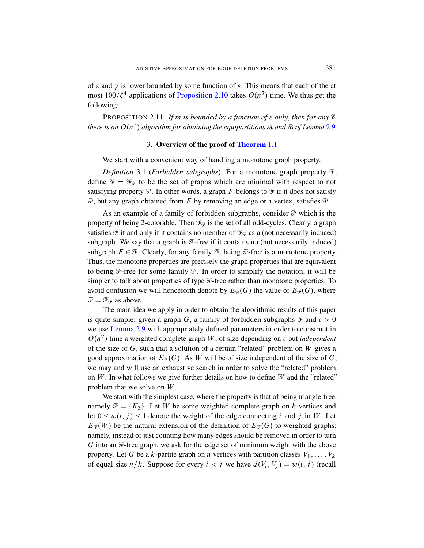<span id="page-11-1"></span><span id="page-11-0"></span>of  $\varepsilon$  and  $\gamma$  is lower bounded by some function of  $\varepsilon$ . This means that each of the at most  $100/\zeta^4$  applications of [Proposition](#page-3-0) 2.10 takes  $O(n^2)$  time. We thus get the following:

<span id="page-11-2"></span>PROPOSITION 2.11. If m is bounded by a function of  $\varepsilon$  only, then for any  $\varepsilon$ there is an  $O(n^2)$  algorithm for obtaining the equipartitions  $\mathcal A$  and  $\mathcal B$  of Lemma 2.9.

#### 3. Overview of the proof of Theorem 1.1

We start with a convenient way of handling a monotone graph property.

*Definition* 3.1 (*Forbidden subgraphs*). For a monotone graph property  $\mathcal{P}$ , define  $\mathcal{F} = \mathcal{F}_{\mathcal{P}}$  to be the set of graphs which are minimal with respect to not satisfying property  $\mathcal P$ . In other words, a graph F belongs to  $\mathcal F$  if it does not satisfy  $\mathcal{P}$ , but any graph obtained from F by removing an edge or a vertex, satisfies  $\mathcal{P}$ .

As an example of a family of forbidden subgraphs, consider  $P$  which is the property of being 2-colorable. Then  $\mathcal{F}_{\mathcal{P}}$  is the set of all odd-cycles. Clearly, a graph satisfies  $\mathcal P$  if and only if it contains no member of  $\mathcal F_{\mathcal P}$  as a (not necessarily induced) subgraph. We say that a graph is  $\mathcal{F}$ -free if it contains no (not necessarily induced) subgraph  $F \in \mathcal{F}$ . Clearly, for any family  $\mathcal{F}$ , being  $\mathcal{F}$ -free is a monotone property. Thus, the monotone properties are precisely the graph properties that are equivalent to being  $\mathcal F$ -free for some family  $\mathcal F$ . In order to simplify the notation, it will be simpler to talk about properties of type  $\mathcal F$ -free rather than monotone properties. To avoid confusion we will henceforth denote by  $E_{\mathcal{F}}(G)$  the value of  $E_{\mathcal{P}}(G)$ , where  $\mathcal{F} = \mathcal{F}_{\varphi}$  as above.

The main idea we apply in order to obtain the algorithmic results of this paper is quite simple; given a graph G, a family of forbidden subgraphs  $\mathcal F$  and  $\varepsilon > 0$ we use Lemma 2.9 with appropriately defined parameters in order to construct in  $O(n^2)$  time a weighted complete graph W, of size depending on  $\varepsilon$  but *independent* of the size of  $G$ , such that a solution of a certain "related" problem on  $W$  gives a good approximation of  $E_{\mathcal{F}}(G)$ . As W will be of size independent of the size of G, we may and will use an exhaustive search in order to solve the "related" problem on  $W$ . In what follows we give further details on how to define  $W$  and the "related" problem that we solve on  $W$ .

We start with the simplest case, where the property is that of being triangle-free, namely  $\mathcal{F} = \{K_3\}$ . Let W be some weighted complete graph on k vertices and let  $0 \leq w(i, j) \leq 1$  denote the weight of the edge connecting i and j in W. Let  $E_{\mathcal{F}}(W)$  be the natural extension of the definition of  $E_{\mathcal{F}}(G)$  to weighted graphs; namely, instead of just counting how many edges should be removed in order to turn G into an  $\mathcal{F}$ -free graph, we ask for the edge set of minimum weight with the above property. Let G be a k-partite graph on n vertices with partition classes  $V_1, \ldots, V_k$ of equal size  $n/k$ . Suppose for every  $i < j$  we have  $d(V_i, V_j) = w(i, j)$  (recall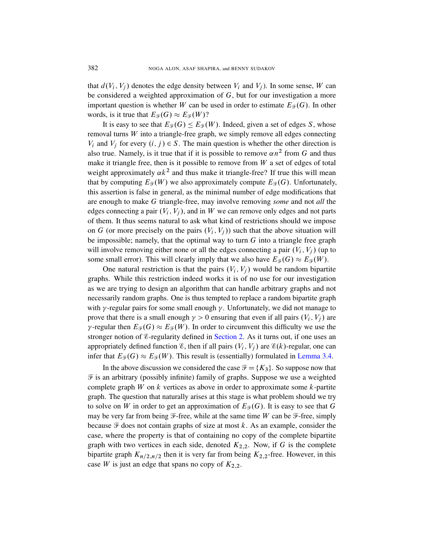that  $d(V_i, V_j)$  denotes the edge density between  $V_i$  and  $V_j$ ). In some sense, W can be considered a weighted approximation of G, but for our investigation a more important question is whether W can be used in order to estimate  $E_{\mathcal{F}}(G)$ . In other words, is it true that  $E_{\mathscr{F}}(G) \approx E_{\mathscr{F}}(W)$ ?

It is easy to see that  $E_{\mathcal{F}}(G) \leq E_{\mathcal{F}}(W)$ . Indeed, given a set of edges S, whose removal turns  $W$  into a triangle-free graph, we simply remove all edges connecting  $V_i$  and  $V_j$  for every  $(i, j) \in S$ . The main question is whether the other direction is also true. Namely, is it true that if it is possible to remove  $\alpha n^2$  from G and thus make it triangle free, then is it possible to remove from  $W$  a set of edges of total weight approximately  $\alpha k^2$  and thus make it triangle-free? If true this will mean that by computing  $E_{\mathcal{F}}(W)$  we also approximately compute  $E_{\mathcal{F}}(G)$ . Unfortunately, this assertion is false in general, as the minimal number of edge modifications that are enough to make G triangle-free, may involve removing *some* and not *all* the edges connecting a pair  $(V_i, V_j)$ , and in W we can remove only edges and not parts of them. It thus seems natural to ask what kind of restrictions should we impose on G (or more precisely on the pairs  $(V_i, V_j)$ ) such that the above situation will be impossible; namely, that the optimal way to turn  $G$  into a triangle free graph will involve removing either none or all the edges connecting a pair  $(V_i, V_j)$  (up to some small error). This will clearly imply that we also have  $E_{\mathcal{F}}(G) \approx E_{\mathcal{F}}(W)$ .

One natural restriction is that the pairs  $(V_i, V_j)$  would be random bipartite graphs. While this restriction indeed works it is of no use for our investigation as we are trying to [design an](#page-8-0) algorithm that can handle arbitrary graphs and not necessarily random graphs. One is thus tempted to replace a random bipartite graph with  $\gamma$ -regular pairs for some small enough  $\gamma$ . [Unfortunately](#page-13-0), we did not manage to prove that there is a small enough  $\gamma > 0$  ensuring that even if all pairs  $(V_i, V_j)$  are  $\gamma$ -regular then  $E_{\mathcal{F}}(G) \approx E_{\mathcal{F}}(W)$ . In order to circumvent this difficulty we use the stronger notion of  $\varepsilon$ -regularity defined in Section 2. As it turns out, if one uses an appropriately defined function  $\mathscr{E}$ , then if all pairs  $(V_i, V_j)$  are  $\mathscr{E}(k)$ -regular, one can infer that  $E_{\mathcal{F}}(G) \approx E_{\mathcal{F}}(W)$ . This result is (essentially) formulated in Lemma 3.4.

In the above discussion we considered the case  $\mathcal{F} = \{K_3\}$ . So suppose now that  $\mathcal F$  is an arbitrary (possibly infinite) family of graphs. Suppose we use a weighted complete graph  $W$  on  $k$  vertices as above in order to approximate some  $k$ -partite graph. The question that naturally arises at this stage is what problem should we try to solve on W in order to get an approximation of  $E_{\mathcal{F}}(G)$ . It is easy to see that G may be very far from being  $\mathcal{F}\text{-free}$ , while at the same time W can be  $\mathcal{F}\text{-free}$ , simply because  $\mathcal F$  does not contain graphs of size at most k. As an example, consider the case, where the property is that of containing no copy of the complete bipartite graph with two vertices in each side, denoted  $K_{2,2}$ . Now, if G is the complete bipartite graph  $K_{n/2,n/2}$  then it is very far from being  $K_{2,2}$ -free. However, in this case W is just an edge that spans no copy of  $K_{2,2}$ .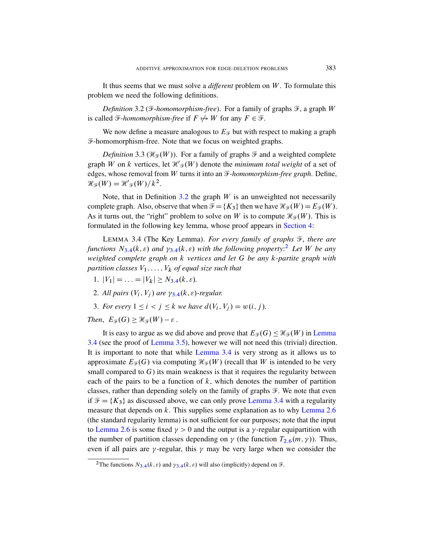<span id="page-13-1"></span>It thus seems that we must solve a *different* problem on W . To formulate this problem we need the following definitions.

*Definition* 3.2 ( $\overline{\mathcal{F}}$ *-homomorphism-free*). For a family of graphs  $\overline{\mathcal{F}}$ , a graph W is called  $\mathcal{F}$ -*homomorphism-free* if  $F \nleftrightarrow W$  for any  $F \in \mathcal{F}$ .

We now define a measure analogous to  $E_{\mathcal{F}}$  but with respect to making a graph F-hom[omor](#page-13-1)phism-free. Note that we focus on weighted graphs.

*Definition* 3.3 ( $\mathcal{H}_{\mathcal{F}}(W)$ ). For a family of graphs  $\mathcal{F}$  and a weighted complete graph W on k vertices, let  $\mathcal{H}'_{\mathcal{F}}(W)$  denote the *minimum total weight* of a set of edges, whose removal from W turns it into an F-*[homo](#page-14-1)morphism-free graph*. Define,  $\mathcal{H}_{\mathcal{F}}(W) = \mathcal{H}'_{\mathcal{F}}(W)/k^2.$ 

<span id="page-13-0"></span>[Not](#page-13-0)e, t[h](#page-13-2)at in Definition  $3.2$  the graph W is an unweighted not necessarily complete graph. Also, observe that when  $\mathcal{F} = \{K_3\}$  then we have  $\mathcal{H}_{\mathcal{F}}(W) = E_{\mathcal{F}}(W)$ . As it turns out, the "right" problem to solve on W is to compute  $\mathcal{H}_{\mathcal{F}}(W)$ . This is form[ulat](#page-13-0)ed in the following key lemma, whose proof appears in Section 4:

LEMMA 3.4 (The Key Lemma). *For every family of graphs*  $\mathcal{F}$ *, there are funct[ions](#page-13-0)*  $N_{3,4}(k, \varepsilon)$  and  $\gamma_{3,4}(k, \varepsilon)$  with the following property:<sup>2</sup> Let W be any *weighted complete graph on* k *vertices and let* G *be any* k*-partite graph with partition classes*  $V_1, \ldots, V_k$  *of equal size such that* 

- 1.  $|V_1| = \ldots = |V_k| > N_{3.4}(k, \varepsilon)$ .
- 2. [All pa](#page-14-0)irs  $(V_i, V_j)$  are  $\gamma_{3.4}(k, \varepsilon)$ -regular.
- 3. For every  $1 \le i < j \le k$  $1 \le i < j \le k$  $1 \le i < j \le k$  we have  $d(V_i, V_j) = w(i, j)$ .

*Then,*  $E_{\mathcal{F}}(G) \geq \mathcal{H}_{\mathcal{F}}(W) - \varepsilon$ .

It is easy to argue as we did above and prove that  $E_{\mathcal{F}}(G) \leq \mathcal{H}_{\mathcal{F}}(W)$  in Lemma 3.4 (see the proof of Lemma 3.5), however we will not need this (trivial) direction. It is important to note that while [Lemma](#page-13-0) 3.4 is very strong as it allows us to approximate  $E_{\mathcal{F}}(G)$  via computing  $\mathcal{H}_{\mathcal{F}}(W)$  (re[call that](#page-9-0) W is intended to be very small compared to  $G$ ) its main weakness is that it requires the regularity between each of the pairs to be a function of  $k$ , which denotes the number of partition classes, rather than depending solely on th[e fam](#page-9-0)ily of graphs  $\mathcal{F}$ . We note that even if  $\mathcal{F} = \{K_3\}$  as discussed above, we can only prove Lemma 3.4 with a regularity measure that depends on  $k$ . This supplies some explanation as to why Lemma 2.6 (the sta[nda](#page-13-0)rd regularity lemma) is not sufficient for our purposes; note that the input to Lemma 2.6 is some fixed  $\gamma > 0$  and the output is a  $\gamma$ -regular equipartition with the number of partition classes depending on  $\gamma$  (the function  $T_{2,6}(m, \gamma)$ ). Thus, even if all pairs are  $\gamma$ -regular, this  $\gamma$  may be very large when we consider the

<span id="page-13-2"></span><sup>&</sup>lt;sup>2</sup>The functions  $N_{3,4}(k, \varepsilon)$  and  $\gamma_{3,4}(k, \varepsilon)$  will also (implicitly) depend on  $\mathcal{F}$ .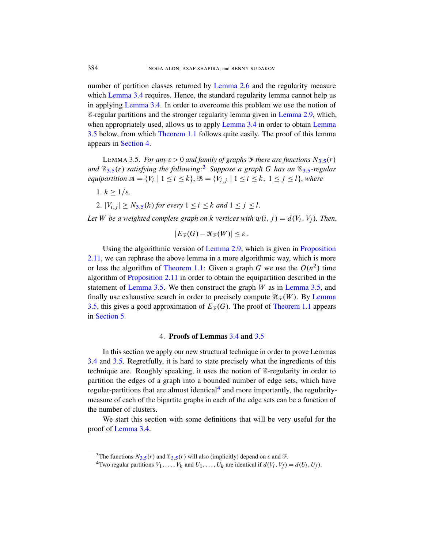<span id="page-14-0"></span>[number of par](#page-3-0)tition classes returned by Lemma 2.6 and the regularity measure which Lemma 3.4 requires. Hence, the standard regularity lemma cannot help us in applying Lemma 3.4. In order to overcome this problem we use the notion of E-regular partit[ion](#page-14-2)s and the stronger regularity lemma [giv](#page-14-0)en in Lemma 2.9, which, when appropriately used, allows us to apply Lem[ma](#page-14-0) 3.4 in order to obtain Lemma 3.5 below, from which Theorem 1.1 follows quite easily. The proof of this lemma appears in Section 4.

LEMMA 3.5. *For any*  $\varepsilon > 0$  *and family of graphs*  $\mathcal{F}$  *there are functions*  $N_{3.5}(r)$ *and* E3:5.r/ *satisfying the following*: <sup>3</sup> *Suppose a graph* G *has an* E3:5*-regular equipartition*  $\mathcal{A} = \{V_i \mid 1 \le i \le k\}, \mathcal{B} = \{V_{i,j} \mid 1 \le i \le k, 1 \le j \le l\},$  where

1.  $k \geq 1/\varepsilon$ .

2.  $|V_{i,j}| \ge N_{3.5}(k)$  *[for eve](#page-10-0)ry*  $1 \le i \le k$  *and*  $1 \le j \le l$ *.* 

Let W [be a weigh](#page-3-0)ted complete graph on k vertices with  $w(i, j) = d(V_i, V_j)$ . Then,

$$
|E_{\mathscr{F}}(G)-\mathscr{H}_{\mathscr{F}}(W)|\leq \varepsilon.
$$

<span id="page-14-1"></span>Using the algorithmic version of Lemma 2.9, [which is](#page-14-0) given in Proposition 2.11, we can rephrase the above lemm[a in a more alg](#page-3-0)orithmic way, which is more or less the algorithm of Theorem 1.1: Given a graph G we use the  $O(n^2)$  time algorithm of Proposition 2.11 in order to obtain the equipartition described in the statement of Lemma 3.[5. W](#page-13-0)e th[en c](#page-14-0)onstruct the graph  $W$  as in Lemma 3.5, and finally use exhaustive search in order to precisely compute  $\mathcal{H}_{\mathcal{F}}(W)$ . By Lemma 3.5, this gives a good approximation of  $E_{\mathcal{F}}(G)$ . The proof of Theorem 1.1 appears in Section 5.

#### 4. Proofs of Lemmas 3.4 and 3.5

In this section we apply our new structural technique in order to prove Lemmas 3.4 and 3.5. Regretfully, it is hard to state precisely what the ingredients of this technique are. Roughly speaking, it uses the notion of E-regularity in order to partition the edges of a graph into a bounded number of edge sets, which have regular-partitions that are almost identical<sup>4</sup> and more importantly, the regularitymeasure of each of the bipartite graphs in each of the edge sets can be a function of the n[umb](#page-14-0)er of clusters.

<span id="page-14-2"></span>We start this section with some definitions that will be very useful for the proof of Lemma 3.4.

<sup>&</sup>lt;sup>3</sup>The functions  $N_{3.5}(r)$  and  $\mathcal{E}_{3.5}(r)$  will also (implicitly) depend on  $\varepsilon$  and  $\mathcal{F}$ .

<sup>&</sup>lt;sup>4</sup>Two regular partitions  $V_1, \ldots, V_k$  and  $U_1, \ldots, U_k$  are identical if  $d(V_i, V_j) = d(U_i, U_j)$ .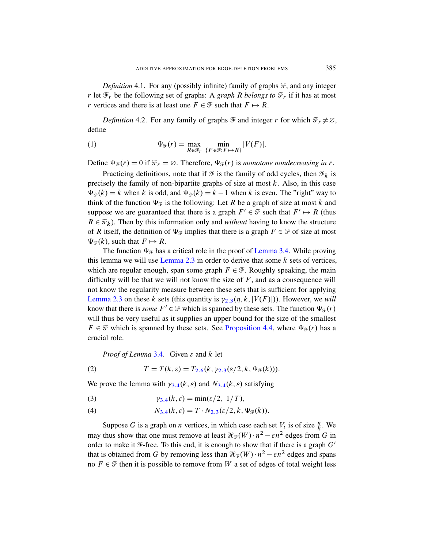<span id="page-15-1"></span>*Definition* 4.1. For any (possibly infinite) family of graphs  $\mathcal{F}$ , and any integer r let  $\mathcal{F}_r$  be the following set of graphs: A *graph R belongs to*  $\mathcal{F}_r$  if it has at most r vertices and there is at least one  $F \in \mathcal{F}$  such that  $F \mapsto R$ .

*Definition* 4.2. For any family of graphs  $\mathcal{F}$  and integer r for which  $\mathcal{F}_r \neq \emptyset$ , define

(1) 
$$
\Psi_{\mathcal{F}}(r) = \max_{R \in \mathcal{F}_r} \min_{\{F \in \mathcal{F}: F \mapsto R\}} |V(F)|.
$$

Define  $\Psi_{\mathcal{F}}(r) = 0$  if  $\mathcal{F}_r = \emptyset$ . Therefore,  $\Psi_{\mathcal{F}}(r)$  is *monotone nondecreasing in* r.

Practicing definitions, note that if  $\mathcal F$  is the family of odd cycles, then  $\mathcal F_k$  is precisely the family of non-bipartite graphs of size at most  $k$ . Also, in this case  $\Psi_{\mathcal{F}}(k) = k$  when k is odd, and  $\Psi_{\mathcal{F}}(k) = k - 1$  when k is even. The "right" way to think of the function  $\Psi_{\mathcal{F}}$  is the f[ollowing: Le](#page-13-0)t R be a graph of size at most k and s[uppose we ar](#page-8-1)e guaranteed that there is a graph  $F' \in \mathcal{F}$  such that  $F' \mapsto R$  (thus  $R \in \mathcal{F}_k$ ). Then by this information only and *without* having to know the structure of R itself, the definition of  $\Psi_{\mathscr{F}}$  implies that there is a graph  $F \in \mathscr{F}$  of size at most  $\Psi_{\mathcal{F}}(k)$ , such that  $F \mapsto R$ .

The function  $\Psi_{\mathcal{F}}$  [has a](#page-8-1) critical role in the proof of Lemma 3.4. While proving this lemma we will use Lemma 2.3 in order to derive that some  $k$  sets of vertices, which are regular enough, span some graph  $F \in \mathcal{F}$ . Roughly speaking, the main difficulty will be that [we will not know](#page-17-0) the size of  $F$ , and as a consequence will not know the regularity measure between these sets that is sufficient for applying Lemma 2.3 on these k sets (this quantity is  $\gamma_{2,3}(\eta, k, |V(F)|)$ ). However, we *will* [kno](#page-13-0)w that there is *some*  $F' \in \mathcal{F}$  which is spanned by these sets. The function  $\Psi_{\mathcal{F}}(r)$ will thus be [very](#page-9-0) use[ful](#page-8-1) as it supplies an upper bound for the size of the smallest  $F \in \mathcal{F}$  which is spanned by these sets. See Proposition 4.4, where  $\Psi_{\mathcal{F}}(r)$  has a cruci[al ro](#page-13-0)le.

<span id="page-15-2"></span><span id="page-15-0"></span>*[P](#page-13-0)roof of Lemma* 3.4. Given  $\varepsilon$  and  $k$  let

(2) 
$$
T = T(k, \varepsilon) = T_{2.6}(k, \gamma_{2.3}(\varepsilon/2, k, \Psi_{\mathcal{F}}(k))).
$$

We prove the lemma with  $\gamma_{3,4}(k, \varepsilon)$  and  $N_{3,4}(k, \varepsilon)$  satisfying

(3) 
$$
\gamma_{3.4}(k,\varepsilon) = \min(\varepsilon/2, 1/T),
$$

(4) 
$$
N_{3,4}(k,\varepsilon) = T \cdot N_{2,3}(\varepsilon/2, k, \Psi_{\mathcal{F}}(k)).
$$

Suppose G is a graph on *n* vertices, in which case each set  $V_i$  is of size  $\frac{n}{k}$ . We may thus show that one must remove at least  $\mathcal{H}_{\mathcal{F}}(W) \cdot n^2 - \varepsilon n^2$  edges from G in order to make it  $\mathcal{F}$ -free. To this end, it is enough to show that if there is a graph  $G'$ that is obtained from G by removing less than  $\mathcal{H}_{\mathcal{F}}(W) \cdot n^2 - \varepsilon n^2$  edges and spans no  $F \in \mathcal{F}$  then it is possible to remove from W a set of edges of total weight less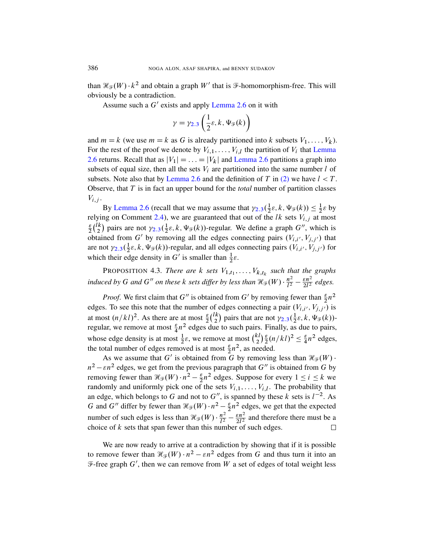than  $\mathcal{H}_{\mathcal{F}}(W) \cdot k^2$  and obtain a graph  $W'$  that is  $\mathcal{F}$ -homomorphism-free. This will obviously be a contradiction.

Assume such a  $G'$  e[xists and app](#page-9-0)ly Lemma 2.6 [on it wi](#page-9-0)th

$$
\gamma = \gamma_{2.3} \left( \frac{1}{2} \varepsilon, k, \Psi_{\mathcal{F}}(k) \right)
$$

and  $m = k$  (we use  $m = k$  as G is already partitioned into k subsets  $V_1, \ldots, V_k$ ). For the rest of the proof we denote by  $V_{i,1}, \ldots, V_{i,l}$  the partition of  $V_i$  that Lemma 2.6 returns. Recall that as  $|V_1| = ... = |V_k|$  and Lemma 2.6 partitions a graph into [subs](#page-9-4)ets of equal size, then all the sets  $V_i$  are partitioned into the same number l of [sub](#page-8-1)sets. Note also that by Lemma 2.6 and the definition of T in (2) we have  $l < T$ . Observe, that T is in fact an upper bound for the *total* number of partition classes  $V_{i,j}$ .

<span id="page-16-0"></span>By Lemma 2.6 (recall that we may assume that  $\gamma_{2,3}(\frac{1}{2})$  $\frac{1}{2}\varepsilon, k, \Psi_{\mathscr{F}}(k)) \leq \frac{1}{2}$  $\frac{1}{2}\varepsilon$  by relying on Comment 2.4), we are guaranteed that out of the lk sets  $V_{i,j}$  at most  $\epsilon$  $rac{\varepsilon}{2} \binom{lk}{2}$  $\binom{k}{2}$  pairs are not  $\gamma_{2,3}(\frac{1}{2})$  $\frac{1}{2}\varepsilon$ , k,  $\Psi_{\mathcal{F}}(k)$ )-regular. We define a graph  $G''$ , which is obtained from G' by removing all the edges connecting pairs  $(V_{i,i'}, V_{j,j'})$  that are not  $\gamma_{2,3}(\frac{1}{2})$  $\frac{1}{2}\varepsilon$ ,  $k$ ,  $\Psi_{\mathcal{F}}(k)$ )-regular, and all edges connecting pairs  $(V_{i,i'}, V_{j,j'})$  for which their edge density in G' is smaller than  $\frac{1}{2}\varepsilon$ .

PROPOSITION 4.3. *There are*  $k$  *sets*  $V_{1,t_1}, \ldots, V_{k,t_k}$  $V_{1,t_1}, \ldots, V_{k,t_k}$  *such that the graphs induced by* G and G<sup>"</sup> on these k sets differ by less than  $\mathcal{H}_{\mathcal{F}}(W) \cdot \frac{n^2}{l^2}$  $\frac{n^2}{l^2} - \frac{\varepsilon n^2}{2l^2}$  edges.

*Proof.* We first claim that G'' is obtained from G' by removing fewer than  $\frac{\varepsilon}{2}n^2$ edges. To see this note that the number of edges connecting a pair  $(V_{i,i'}, V_{j,j'})$  is at most  $(n/kl)^2$ . As there are at most  $\frac{\varepsilon}{2} {nk \choose 2}$  $\binom{k}{2}$  pairs that are not  $\gamma_{2,3}(\frac{1}{2})$  $\frac{1}{2}\varepsilon, k, \Psi_{\mathscr{F}}(k))$ regular, we remove at most  $\frac{\varepsilon}{4}n^2$  edges due to such pairs. Finally, as due to pairs, whose edge density is at most  $\frac{1}{2}\varepsilon$ , we remove at most  $\binom{k}{2}$  $\binom{k}{2} \frac{\varepsilon}{2}$  $\frac{\varepsilon}{2}(n/kl)^2 \leq \frac{\varepsilon}{4}$  $\frac{\varepsilon}{4}n^2$  edges, the total number of edges removed is at most  $\frac{\varepsilon}{2}n^2$ , as needed.

As we assume that G' is obtained from G by removing less than  $\mathcal{H}_{\mathcal{F}}(W)$ .  $n^2 - \varepsilon n^2$  edges, we get from the previous paragraph that G'' is obtained from G by removing fewer than  $\mathcal{H}_{\mathcal{F}}(W) \cdot n^2 - \frac{\varepsilon}{2}$  $\frac{\varepsilon}{2}n^2$  edges. Suppose for every  $1 \le i \le k$  we randomly and uniformly pick one of the sets  $V_{i,1}, \ldots, V_{i,l}$ . The probability that an edge, which belongs to G and not to G'', is spanned by these k sets is  $l^{-2}$ . As G and G'' differ by fewer than  $\mathcal{H}_{\mathcal{F}}(W) \cdot n^2 - \frac{\varepsilon}{2}$  $\frac{\varepsilon}{2}n^2$  edges, we get that the expected number of such edges is less than  $\mathcal{H}_{\mathcal{F}}(W) \cdot \frac{n^2}{l^2}$  $\frac{n^2}{l^2} - \frac{\varepsilon n^2}{2l^2}$  and therefore there must be a choice of  $k$  sets that span fewer than this number of such edges.  $\Box$ 

We are now ready to arrive at a contradiction by showing that if it is possible to remove fewer than  $\mathcal{H}_{\mathcal{F}}(W) \cdot n^2 - \varepsilon n^2$  edges from G and thus turn it into an  $\mathcal{F}$ -free graph G', then we can remove from W a set of edges of total weight less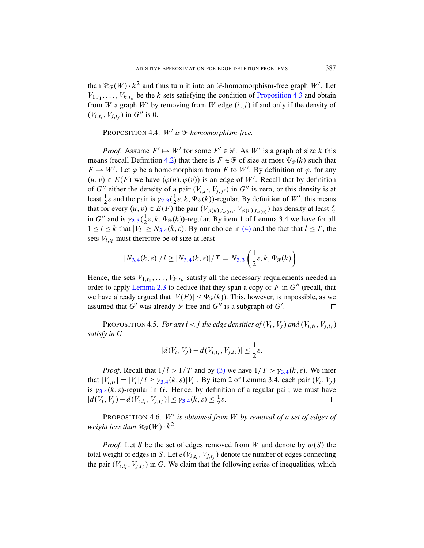<span id="page-17-0"></span>than  $\mathcal{H}_{\mathcal{F}}(W) \cdot k^2$  and thus turn it into an  $\mathcal{F}$ -homomorphism-free graph W'. Let  $V_{1,i_1}, \ldots, V_{k,i_k}$  be the k sets satisfying the condition of Proposition 4.3 and obtain from W a graph  $W'$  by removing from W edge  $(i, j)$  if and only if the density of  $(V_{i,t_i}, V_{j,t_j})$  in  $G''$  is 0.

### PROPOSITION 4.4. W' is **F**-homomorphism-free.

*[P](#page-8-1)roof.* Assume  $F' \mapsto W'$  for some  $F' \in \mathcal{F}$ . As W' is a graph of size k this means (recall Definition 4.2) that there is  $F \in \mathcal{F}$  of size at most  $\Psi_{\mathcal{F}}(k)$  such that  $F \mapsto W'$ . Let  $\varphi$  be a homomorphism from F to W'. By definition of  $\varphi$ , for any  $(u, v) \in E(F)$  we have  $(\varphi(u), \varphi(v))$  is an edge of W'. Recall that by definition of G'' either the density of a pair  $(V_{i,i'}, V_{j,j'})$  in G'' is zero, or this density is at least  $\frac{1}{2}\varepsilon$  and the pair is  $\gamma_{2,3}(\frac{1}{2})$  $\frac{1}{2}\varepsilon$ ,  $k$ ,  $\Psi_{\mathcal{F}}(k)$ )-regular. By definition of  $W'$ , this means that for e[very](#page-13-0)  $(u, v) \in E(F)$  [th](#page-8-1)e pair  $(V_{\varphi(u), t_{\varphi(u)}}, V_{\varphi(v), t_{\varphi(v)}})$  has density at least  $\frac{\varepsilon}{2}$ in G'' and is  $\gamma_{2,3}(\frac{1}{2})$  $\frac{1}{2}\varepsilon$ ,  $k$ ,  $\Psi_{\mathcal{F}}(k)$ )-regular. By item 1 of Lemma 3.4 we have for all  $1 \le i \le k$  that  $|V_i| \ge N_{3,4}(k, \varepsilon)$ . By our choice in (4) and the fact that  $l \le T$ , the [sets](#page-8-1)  $V_{i,t_i}$  must therefore be of size at least

$$
|N_{3,4}(k,\varepsilon)|/l \geq |N_{3,4}(k,\varepsilon)|/T = N_{2,3}\left(\frac{1}{2}\varepsilon,k,\Psi_{\mathcal{F}}(k)\right).
$$

<span id="page-17-1"></span>Hence, the sets  $V_{1,t_1}, \ldots, V_{k,t_k}$  satisfy all the necessary requirements needed in order to apply Lemma 2.3 to deduce that they span a copy of F in  $G''$  (recall, that we have already argued that  $|V(F)| \leq \Psi_{\mathcal{F}}(k)$ . This, however, is impossible, as we assumed that  $G'$  was already  $\mathcal{F}$ -free and  $G''$  is a subgraph of  $G'$ .  $\Box$ 

PROPOSITION [4.5.](#page-15-2) *For any*  $i < j$  the [edge](#page-13-0) densities of  $(V_i, V_j)$  and  $(V_{i,t_i}, V_{j,t_j})$ *s[atisf](#page-13-0)y in* G

$$
|d(V_i, V_j) - d(V_{i,t_i}, V_{j,t_j})| \leq \frac{1}{2}\varepsilon.
$$

*Proof.* Recall that  $1/l > 1/T$  and by (3) we have  $1/T > \gamma_{3,4}(k, \varepsilon)$ . We infer that  $|V_{i,t_i}| = |V_i|/l \ge \gamma_{3.4}(k,\varepsilon)|V_i|$ . By item 2 of Lemma 3.4, each pair  $(V_i, V_j)$ is  $\gamma_{3,4}(k,\varepsilon)$ -regular in G. Hence, by definition of a regular pair, we must have  $|d(V_i, V_j) - d(V_{i,t_i}, V_{j,t_j})| \leq \gamma_{3.4}(k, \varepsilon) \leq \frac{1}{2}$  $rac{1}{2}\varepsilon$ .  $\Box$ 

PROPOSITION 4.6. W' is obtained from W by removal of a set of edges of weight less than  $\mathcal{H}_{\mathcal{F}}(W) \cdot k^2$ .

*Proof.* Let S be the set of edges removed from W and denote by  $w(S)$  the total weight of edges in S. Let  $e(V_{i,t_i}, V_{j,t_j})$  denote the number of edges connecting the pair  $(V_{i,t_i}, V_{j,t_j})$  in G. We claim that the following series of inequalities, which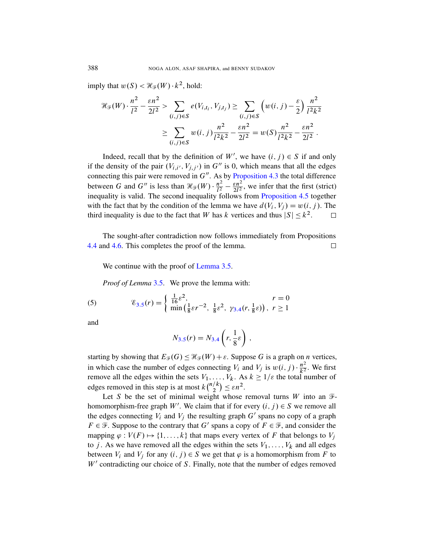imply that  $w(S) < \mathcal{H}_{\mathcal{F}}(W) \cdot k^2$ , hold:

$$
\mathcal{H}_{\mathcal{F}}(W) \cdot \frac{n^2}{l^2} - \frac{\varepsilon n^2}{2l^2} > \sum_{(i,j) \in S} e(V_{i,t_i}, V_{j,t_j}) \ge \sum_{(i,j) \in S} \left( w(i,j) - \frac{\varepsilon}{2} \right) \frac{n^2}{l^2 k^2} \\
\ge \sum_{(i,j) \in S} w(i,j) \frac{n^2}{l^2 k^2} - \frac{\varepsilon n^2}{2l^2} = w(S) \frac{n^2}{l^2 k^2} - \frac{\varepsilon n^2}{2l^2}.
$$

Indeed, recall that by the definition of  $W'$ , we have  $(i, j) \in S$  if and only if the density of the pair  $(V_{i,i'}, V_{j,j'})$  in  $G''$  is 0, which means that all the edges connecting this pair were removed in  $G''$ . As by Proposition 4.3 the total difference between G and G'' is less than  $\mathcal{H}_{\mathcal{F}}(W) \cdot \frac{n^2}{l^2}$  $\frac{n^2}{l^2} - \frac{\varepsilon n^2}{2l^2}$  $\frac{\varepsilon n^2}{2l^2}$ , we infer that the first (strict) inequality is valid. The second inequality follows from Proposition 4.5 together with the fact that by the condition of the lemma we have  $d(V_i, V_j) = w(i, j)$ . The third inequali[ty is due to t](#page-14-0)he fact that W has k vertices and thus  $|S| \le k^2$ .  $\Box$ 

The sought-after contradiction now follows immediately from Propositions 4.4 and 4.6. This completes the proof of the lemma.  $\Box$ 

<span id="page-18-0"></span>We continue with the proof of Lemma 3.5.

*Proof of Lemma* [3](#page-13-0).5. We prove the lemma with:

(5) 
$$
\mathscr{E}_{3.5}(r) = \begin{cases} \frac{1}{16}\varepsilon^2, & r = 0\\ \min\left(\frac{1}{8}\varepsilon r^{-2}, \frac{1}{8}\varepsilon^2, \gamma_{3.4}(r, \frac{1}{8}\varepsilon)\right), & r \ge 1 \end{cases}
$$

and

$$
N_{3.5}(r) = N_{3.4}\left(r, \frac{1}{8}\varepsilon\right) \,,
$$

starting by showing that  $E_{\mathcal{F}}(G) \leq \mathcal{H}_{\mathcal{F}}(W) + \varepsilon$ . Suppose G is a graph on *n* vertices, in which case the number of edges connecting  $V_i$  and  $V_j$  is  $w(i, j) \cdot \frac{n^2}{k^2}$  $\frac{n^2}{k^2}$ . We first remove all the edges within the sets  $V_1, \ldots, V_k$ . As  $k \geq 1/\varepsilon$  the total number of edges removed in this step is at most  $k\binom{n/k}{2}$  $\binom{k}{2} \leq \varepsilon n^2$ .

Let S be the set of minimal weight whose removal turns W into an  $\mathcal{F}$ homomorphism-free graph W'. We claim that if for every  $(i, j) \in S$  we remove all the edges connecting  $V_i$  and  $V_j$  the resulting graph  $G'$  spans no copy of a graph  $F \in \mathcal{F}$ . Suppose to the contrary that G' spans a copy of  $F \in \mathcal{F}$ , and consider the mapping  $\varphi : V(F) \mapsto \{1, ..., k\}$  that maps every vertex of F that belongs to  $V_j$ to j. As we have removed all the edges within the sets  $V_1, \ldots, V_k$  and all edges between  $V_i$  and  $V_j$  for any  $(i, j) \in S$  we get that  $\varphi$  is a homomorphism from F to  $W'$  contradicting our choice of  $S$ . Finally, note that the number of edges removed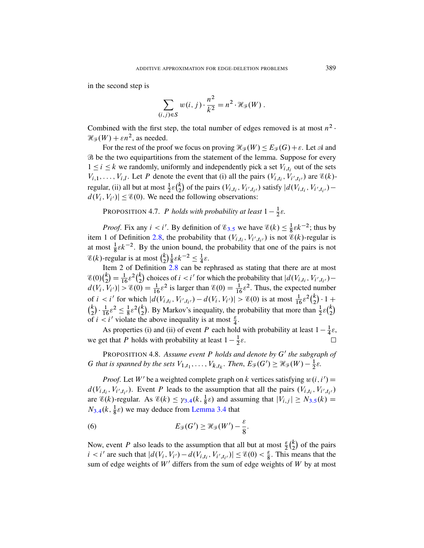in the second step is

$$
\sum_{(i,j)\in S} w(i,j) \cdot \frac{n^2}{k^2} = n^2 \cdot \mathcal{H}_{\mathcal{F}}(W) .
$$

Combined with the first step, the total number of edges removed is at most  $n^2$ .  $\mathcal{H}_{\mathcal{F}}(W) + \varepsilon n^2$ , as needed.

<span id="page-19-1"></span>For the rest of the proof we focus on proving  $\mathcal{H}_{\mathcal{F}}(W) \leq E_{\mathcal{F}}(G) + \varepsilon$ . Let  $\mathcal{A}$  and B be the two equipartitions from the statement of the lemma. Suppose for every  $1 \le i \le k$  we randomly, uniformly and independently pick a set  $V_{i,t_i}$  out of the sets  $V_{i,1}, \ldots, V_{i,l}$ . Let P de[note](#page-14-0) the event that (i) all the pairs  $(V_{i,t_i}, V_{i',t_{i'}})$  are  $\mathscr{E}(k)$ [reg](#page-9-1)ular, (ii) all but at most  $\frac{1}{2}\varepsilon {k \choose 2}$  $\binom{k}{2}$  of the pairs  $(V_{i,t_i}, V_{i',t_{i'}})$  satisfy  $|d(V_{i,t_i}, V_{i',t_{i'}})$  $d(V_i, V_{i'}) \leq \mathcal{E}(0)$ . We need the following observations:

[P](#page-9-1)ROPOSITION 4.7. P *holds with probability at least*  $1 - \frac{1}{2}$  $rac{1}{2}\varepsilon$ .

*Proof.* Fix any  $i < i'$ . By definition of  $\mathcal{E}_{3.5}$  we have  $\mathcal{E}(k) \leq \frac{1}{8}$  $\frac{1}{8} \varepsilon k^{-2}$ ; thus by item 1 of Definition 2.8, the probability that  $(V_{i,t_i}, V_{i',t_{i'}})$  is not  $\mathscr{E}(k)$ -regular is at most  $\frac{1}{8} \varepsilon k^{-2}$ . By the union bound, the probability that one of the pairs is not  $\mathscr{E}(k)$ -regular is at most  $\binom{k}{2}$  $\binom{k}{2} \frac{1}{8}$  $\frac{1}{8}\varepsilon k^{-2} \leq \frac{1}{4}$  $rac{1}{4}\varepsilon$ .

Item 2 of Definition 2.8 can be rephrased as stating that there are at most  $\mathscr{E}(0)\binom{k}{2}$  $\binom{k}{2} = \frac{1}{16} \varepsilon^2 \binom{k}{2}$  $\binom{k}{2}$  choices of  $i < i'$  for which the probability that  $|d(V_{i,t_i}, V_{i',t_{i'}})$  $d(V_i, V_{i'})$   $> \mathcal{E}(0) = \frac{1}{16} \varepsilon^2$  is larger than  $\mathcal{E}(0) = \frac{1}{16} \varepsilon^2$ . Thus, the expected number of  $i < i'$  for which  $|d(V_{i,t_i}, V_{i',t_{i'}}) - d(V_i, V_{i'})| > \mathcal{E}(0)$  is at most  $\frac{1}{16} \varepsilon^2 {k \choose 2}$  $_{2}^{k}) \cdot 1 +$  $\binom{k}{2}$  $\binom{k}{2} \cdot \frac{1}{16} \varepsilon^2 \leq \frac{1}{8}$  $\frac{1}{8} \varepsilon^2 \binom{k}{2}$  $\binom{k}{2}$ . By Markov's inequality, the probability that more than  $\frac{1}{2} \varepsilon \binom{k}{2}$  $\binom{k}{2}$ of  $i < i'$  violate the above inequality is at most  $\frac{\varepsilon}{4}$ .

As properties (i) and (ii) of event P each hold with probability at least  $1 - \frac{1}{4}$  $\frac{1}{4}\varepsilon,$ we get that P holds with probability at least  $1-\frac{1}{2}$  $rac{1}{2}\varepsilon$ .  $\Box$ 

<span id="page-19-0"></span>PRO[POS](#page-13-0)ITION 4.8. Assume event P holds an[d de](#page-14-0)note by G' the subgraph of G that is sp[anned by the](#page-13-0) sets  $V_{1,t_1}, \ldots, V_{k,t_k}$ . Then,  $E_{\mathcal{F}}(G') \geq \mathcal{H}_{\mathcal{F}}(W) - \frac{1}{2}$  $rac{1}{2}\varepsilon$ .

*Proof.* Let W' be a weighted complete graph on k vertices satisfying  $w(i, i') =$  $d(V_{i,t_i}, V_{i',t_{i'}})$ . Event P leads to the assumption that all the pairs  $(V_{i,t_i}, V_{i',t_{i'}})$ are  $\mathscr{E}(k)$ -regular. As  $\mathscr{E}(k) \leq \gamma_{3,4}(k, \frac{1}{8}\varepsilon)$  and assuming that  $|V_{i,j}| \geq N_{3,5}(k) =$  $N_{3,4}(k, \frac{1}{8}\varepsilon)$  we may deduce from Lemma 3.4 that

(6) 
$$
E_{\mathscr{F}}(G') \geq \mathscr{H}_{\mathscr{F}}(W') - \frac{\varepsilon}{8}.
$$

Now, event P also leads to the assumption that all but at most  $\frac{\varepsilon}{2} {k \choose 2}$  $2<sup>k</sup>$  of the pairs  $i < i'$  are such that  $|d(V_i, V_{i'}) - d(V_{i,t_i}, V_{i',t_{i'}})| \leq \mathcal{E}(0) < \frac{\varepsilon}{8}$ . This means that the sum of edge weights of  $W'$  differs from the sum of edge weights of  $W$  by at most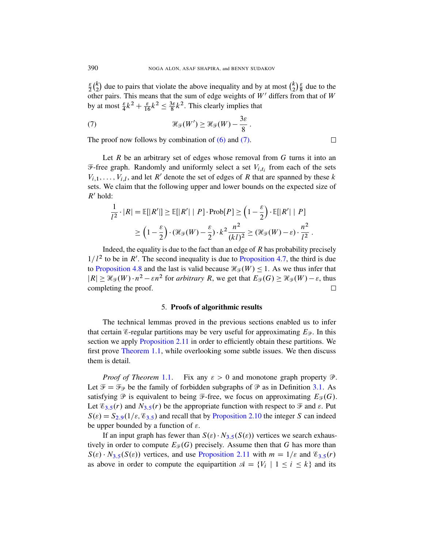$\epsilon$  $\frac{\varepsilon}{2} \binom{k}{2}$  $\binom{k}{2}$  due to pairs th[at vi](#page-19-0)olat[e the](#page-20-1) above inequality and by at most  $\binom{k}{2}$  $\binom{k}{2} \frac{\varepsilon}{8}$  $\frac{\varepsilon}{8}$  due to the other pairs. This means that the sum of edge weights of  $W'$  differs from that of  $W$ by at most  $\frac{\varepsilon}{4}k^2 + \frac{\varepsilon}{16}k^2 \le \frac{3\varepsilon}{8}$  $\frac{3\varepsilon}{8}k^2$ . This clearly implies that

<span id="page-20-1"></span>:

(7) 
$$
\mathscr{H}_{\mathscr{F}}(W') \geq \mathscr{H}_{\mathscr{F}}(W) - \frac{3\varepsilon}{8}
$$

The proof now follows by combination of  $(6)$  and  $(7)$ .

Let  $R$  be an arbitrary set of edges whose removal from  $G$  turns it into an  $\mathcal{F}$ -free graph. Randomly and uniformly select a set  $V_{i,t_i}$  from each of the sets  $V_{i,1}, \ldots, V_{i,l}$ , and let R' denote the set of edges of R that are spanned by these k sets. We claim that the following upper and lower bounds on the expected size of  $R'$  hold:

$$
\frac{1}{l^2} \cdot |R| = \mathbb{E}[|R'|] \ge \mathbb{E}[|R'| | P] \cdot \text{Prob}[P] \ge \left(1 - \frac{\varepsilon}{2}\right) \cdot \mathbb{E}[|R'| | P]
$$

$$
\ge \left(1 - \frac{\varepsilon}{2}\right) \cdot \left(\mathcal{H}_{\mathcal{F}}(W) - \frac{\varepsilon}{2}\right) \cdot k^2 \frac{n^2}{(kl)^2} \ge \left(\mathcal{H}_{\mathcal{F}}(W) - \varepsilon\right) \cdot \frac{n^2}{l^2}.
$$

<span id="page-20-0"></span>Indeed, the equality is due to the fact than an edge of  $R$  has probability precisely  $1/l<sup>2</sup>$  to be in R'. The second inequality is due to Proposition 4.7, the third is due to Proposition 4.8 and the last is valid because  $\mathcal{H}_{\mathcal{F}}(W) \leq 1$ . As we thus infer that  $|R| \geq \mathcal{H}_{\mathcal{F}}(W) \cdot n^2 - \varepsilon n^2$  for *arbitrary* R, we get that  $E_{\mathcal{F}}(G) \geq \mathcal{H}_{\mathcal{F}}(W) - \varepsilon$ , thus [completing t](#page-11-1)he proof.  $\Box$ 

#### 5. Proofs of algorithmic results

The technical lemmas proved in the previous sections enabled us to infer th[at ce](#page-3-0)rtain *E*-regular partitions may be very useful for approximating  $E_{\mathcal{P}}$ . In this section we apply Proposition 2.11 in order to efficien[tly o](#page-11-2)btain these partitions. We first prove Theorem 1.1, while overlooking some subtle issues. We then discuss them is detail.

*Proof of Theorem* 1.1. Fix any  $\varepsilon > 0$  and monotone graph property  $\mathcal{P}$ . Let  $\mathcal{F} = \mathcal{F}_{\mathcal{P}}$  be the fa[mily](#page-14-0) of forbidden subgraphs of  $\mathcal{P}$  as in Definition 3.1. As satisfying  $\mathcal P$  is equivalent to being  $\mathcal F$ -free, we focus on approximating  $E_{\mathcal F}(G)$ . Let  $\mathscr{E}_{3,5}(r)$  and  $N_{3,5}(r)$  [be the a](#page-11-1)ppropriate function [with](#page-14-0) respect to  $\mathscr{F}$  and  $\varepsilon$ . Put  $S(\varepsilon) = S_{2,9}(1/\varepsilon, \mathscr{E}_{3,5})$  and recall that by Proposition 2.10 the integer S can indeed be upper bounded by a function of  $\varepsilon$ .

If an input graph has fewer than  $S(\varepsilon) \cdot N_{3.5}(S(\varepsilon))$  vertices we search exhaustively in order to compute  $E_{\mathcal{F}}(G)$  precisely. Assume then that G has more than  $S(\varepsilon) \cdot N_{3.5}(S(\varepsilon))$  vertices, and use Proposition 2.11 with  $m = 1/\varepsilon$  and  $\mathscr{E}_{3.5}(r)$ . as above in order to compute the equipartition  $\mathcal{A} = \{V_i \mid 1 \le i \le k\}$  and its

 $\Box$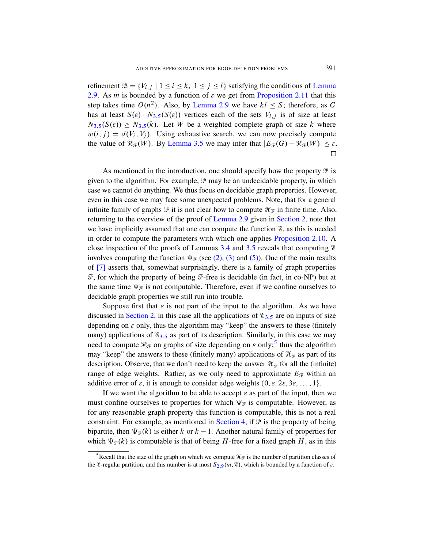refinement  $\mathcal{B} = \{V_{i,j} \mid 1 \le i \le k, 1 \le j \le l\}$  satisfying the conditions of Lemma 2.9. As *m* [is bou](#page-14-0)nded by a function of  $\varepsilon$  we get from Proposition 2.11 that this step takes time  $O(n^2)$ . Also, by Lemma 2.9 we have  $kl \leq S$ ; therefore, as G has at least  $S(\varepsilon) \cdot N_{3.5}(S(\varepsilon))$  vertices each of the sets  $V_{i,j}$  is of size at least  $N_{3.5}(S(\varepsilon)) \geq N_{3.5}(k)$ . Let W be a weighted complete graph of size k where  $w(i, j) = d(V_i, V_j)$ . Using exhaustive search, we can now precisely compute the value of  $\mathcal{H}_{\mathcal{F}}(W)$ . By Lemma 3.5 we may infer that  $|E_{\mathcal{F}}(G) - \mathcal{H}_{\mathcal{F}}(W)| \leq \varepsilon$ .  $\Box$ 

As mentioned [in the introd](#page-10-0)uction, [one should](#page-8-0) specify how the property  $\mathcal P$  is given to the algorithm. For example,  $\mathcal P$  may be an undecidable property, in which case we cannot do anything. We thus fo[cus on decidable gr](#page-10-1)aph properties. However, even in this case we [may](#page-13-0) face [som](#page-14-0)e unexpected problems. Note, that for a general infinite family of g[raph](#page-15-0)s  $\mathcal F$  $\mathcal F$  it is [not](#page-18-0) clear how to compute  $\mathcal H_{\mathcal F}$  in finite time. Also, returning to the overview of the proof of Lemma 2.9 given in Section 2, note that we have implicitly assumed that one can compute the function  $\mathscr{E}$ , as this is needed in order to compute the parameters with which one applies Proposition 2.10. A close inspection of the proofs of Lemmas 3.4 and 3.5 reveals that computing  $\mathscr E$ involves computing the function  $\Psi_{\mathcal{F}}$  (see (2), (3) and (5)). One of the main results [o](#page-8-0)f [7] asserts that, somewhat surpr[isin](#page-14-0)gly, there is a family of graph properties  $\mathcal F$ , for which the property of being  $\mathcal F$ -free is decidable (in fact, in co-NP) but at t[he sa](#page-14-0)me time  $\Psi_{\mathcal{F}}$  is not computable. Therefore, even if we confine ourselves to decidable graph properties we still run [int](#page-21-0)o trouble.

Suppose first that  $\varepsilon$  is not part of the input to the algorithm. As we have discussed in Section 2, in this case all the applications of  $\mathcal{E}_{3,5}$  are on inputs of size depending on  $\varepsilon$  only, thus the algorithm may "keep" the answers to these (finitely many) applications of  $\mathcal{E}_{3,5}$  as part of its description. Similarly, in this case we may need to compute  $\mathcal{H}_{\mathcal{F}}$  on graphs of size depending on  $\varepsilon$  only;<sup>5</sup> thus the algorithm may "keep" the answers to these (finitely many) applications of  $\mathcal{H}_{\mathcal{F}}$  as part of its description. Observe, that we don't need to keep the answer  $\mathcal{H}_{\mathcal{F}}$  for all the (infinite) range of edge weig[hts. Rathe](#page-14-1)r, as we only need to approximate  $E_{\mathcal{F}}$  within an additive error of  $\varepsilon$ , it is enough to consider edge weights  $\{0, \varepsilon, 2\varepsilon, 3\varepsilon, \dots, 1\}$ .

<span id="page-21-0"></span>If we want the algorithm to be able to accept  $\varepsilon$  as part of the input, then we must confine ourselves to properties for which  $\Psi_{\mathcal{F}}$  is computable. However, as for any reasonable [grap](#page-10-0)h property this function is computable, this is not a real constraint. For example, as mentioned in Section 4, if  $\mathcal P$  is the property of being bipartite, then  $\Psi_{\mathcal{F}}(k)$  is either k or  $k - 1$ . Another natural family of properties for which  $\Psi_{\mathcal{F}}(k)$  is computable is that of being H-free for a fixed graph H, as in this

<sup>&</sup>lt;sup>5</sup>Recall that the size of the graph on which we compute  $\mathcal{H}_{\mathcal{F}}$  is the number of partition classes of the *E*-regular partition, and this number is at most  $S_{2.9}(m, \mathcal{E})$ , which is bounded by a function of  $\varepsilon$ .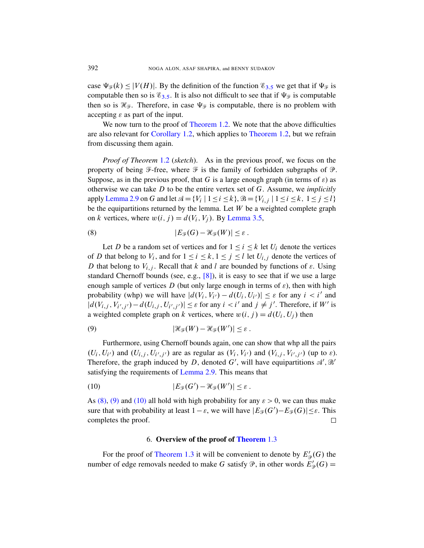[case](#page-4-1)  $\Psi_{\mathscr{F}}(k) \leq |V(H)|$ . By the [definition of t](#page-4-0)he function  $\mathscr{E}_{3,5}$  we get that if  $\Psi_{\mathscr{F}}$  is computable then so is  $\mathscr{E}_{3,5}$ . It is also not difficult to see that if  $\Psi_{\mathscr{F}}$  is computable then so is  $\mathcal{H}_{\mathcal{F}}$ . Therefore, in case  $\Psi_{\mathcal{F}}$  is computable, there is no problem with a[ccep](#page-4-0)ting  $\varepsilon$  as part of the input.

We now turn to the proof of Theorem 1.2. We note that the above difficulties are also relevant for Corollary 1.2, which applies to Theorem 1.2, but we refrain from discussing them again.

*Proof of Theorem* 1.2 (*sketch*). As in the previous proof, we focus on the property of being  $\mathcal{F}$ -fr[ee, where](#page-14-0)  $\mathcal{F}$  is the family of forbidden subgraphs of  $\mathcal{P}$ . Suppose, as in the previous proof, that G is a large enough graph (in terms of  $\varepsilon$ ) as otherwise we can take D to be the entire vertex set of G. Assume, we *implicitly* apply Lemma 2.9 on G and let  $\mathcal{A} = \{V_i \mid 1 \le i \le k\}, \mathcal{B} = \{V_{i,j} \mid 1 \le i \le k, 1 \le j \le l\}$ be the equipartitions returned by the lemma. Let  $W$  be a weighted complete graph on k vertices, where  $w(i, j) = d(V_i, V_j)$ . By Lemma 3.5,

(8) 
$$
|E_{\mathscr{F}}(G) - \mathscr{H}_{\mathscr{F}}(W)| \leq \varepsilon.
$$

Let D be a random set of vertices and for  $1 \le i \le k$  let  $U_i$  denote the vertices of D that belong to  $V_i$ , and for  $1 \le i \le k$ ,  $1 \le j \le l$  let  $U_{i,j}$  denote the vertices of D that belong to  $V_{i,j}$ . Recall that k and l are bounded by functions of  $\varepsilon$ . Using standard Chernoff bounds (see, e.g., [8]), it is easy to see that if we use a large enough sample of vertices D (but only large enough in terms of  $\varepsilon$ ), then with high probability (whp) we will have  $|d(V_i, V_{i'}) - d(U_i, U_{i'})| \leq \varepsilon$  for any  $i < i'$  and  $|d(V_{i,j}, V_{i',j'}) - d(U_{i,j}, U_{i',j'})| \leq \varepsilon$  for any  $i < i'$  and  $j \neq j'$ . Therefore, if W' is a weighted complete graph on k vertices, where  $w(i, j) = d(U_i, U_j)$  then

(9) 
$$
|\mathcal{H}_{\mathcal{F}}(W) - \mathcal{H}_{\mathcal{F}}(W')| \leq \varepsilon.
$$

Furthermore, using Chernoff bounds again, one can show that whp all the pairs  $(U_i, U_{i'})$  and  $(U_{i,j}, U_{i',j'})$  are as regular as  $(V_i, V_{i'})$  and  $(V_{i,j}, V_{i',j'})$  (up to  $\varepsilon$ ). Therefore, the graph induced by D, denoted G', will have equipartitions  $\mathcal{A}', \mathcal{B}'$ satisfying the requirements of Lemma 2.9. This means that

<span id="page-22-0"></span>(10) 
$$
|E_{\mathcal{F}}(G') - \mathcal{H}_{\mathcal{F}}(W')| \leq \varepsilon.
$$

As (8), (9) and (10) all hold with high probability for any  $\varepsilon > 0$ , we can thus make [sure that with](#page-4-3) probability at least  $1 - \varepsilon$ , we will have  $|E_{\mathcal{F}}(G') - E_{\mathcal{F}}(G)| \leq \varepsilon$ . This completes the proof.  $\Box$ 

#### 6. Overview of the proof of Theorem 1.3

For the proof of Theorem 1.3 it will be convenient to denote by  $E'_{\mathcal{P}}(G)$  the number of edge removals needed to make G satisfy  $\mathcal{P}$ , in other words  $E'_{\mathcal{P}}(G)$  =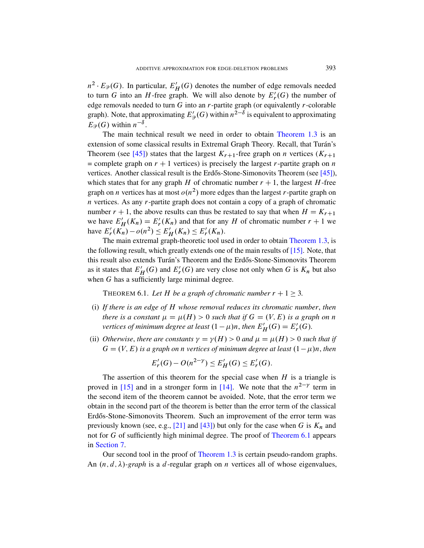$n^2 \cdot E_{\mathcal{P}}(G)$ . In particular,  $E'_H(G)$  deno[tes the numbe](#page-4-3)r of edge removals needed to turn G into an H-free graph. We will also denote by  $E'_r(G)$  the number of edge removals needed to turn  $G$  into an  $r$ -partite graph (or equivalently  $r$ -colorable graph). Note, that approximating  $E'_{\mathcal{P}}(G)$  within  $n^{\frac{1}{2}-\delta}$  is equivalent to approximating  $E_{\mathcal{P}}(G)$  within  $n^{-\delta}$ .

The main technical result we need in order to obtain Theorem 1.3 is an extension of some classical results in Extremal Graph Theory. Recall, that Turán's Theorem (see [45]) states that the largest  $K_{r+1}$ -free graph on *n* vertices ( $K_{r+1}$ ) = complete graph on  $r + 1$  vertices) is precisely the largest r-partite graph on n vertices. Another classical result is the Erdős-Stone-Simonovits Theorem (see  $[45]$ ), which states that for any graph H of chromatic number  $r + 1$ , the largest H-free graph on *n* vertices has at most  $o(n^2)$  more e[dges than the l](#page-4-3)argest *r*-partite graph on  $n$  vertices. As any  $r$ -partite graph does not co[ntai](#page-39-2)n a copy of a graph of chromatic number  $r + 1$ , the above results can thus be restated to say that when  $H = K_{r+1}$ we have  $E'_H(K_n) = E'_r(K_n)$  and that for any H of chromatic number  $r + 1$  we have  $E'_r(K_n) - o(n^2) \le E'_H(K_n) \le E'_r(K_n)$ .

<span id="page-23-0"></span>The main extremal graph-theoretic tool used in order to obtain Theorem 1.3, is the following result, which greatly extends one of the main results of [15]. Note, that this result also extends Turán's Theorem and the Erdős-Stone-Simonovits Theorem as it states that  $E'_H(G)$  and  $E'_F(G)$  are very close not only when G is  $K_n$  but also when G has a sufficiently large minimal degree.

THEOREM 6.1. Let H be a graph of chromatic number  $r + 1 > 3$ .

- (i) *If there is an edge of* H *whose removal reduces its chromatic number*, *then there is a constant*  $\mu = \mu(H) > 0$  *such that if*  $G = (V, E)$  *is a graph on n vertices of minimum degree at least*  $(1 - \mu)n$ , *then*  $E'_H(G) = E'_r(G)$ .
- (ii) *Otherwise, there [are](#page-39-3) constants*  $\gamma = \gamma(H) > 0$  *and*  $\mu = \mu(H) > 0$  *such that if*  $G = (V, E)$  *is a graph on n vertices of minimum degree at least*  $(1 - \mu)n$ , *then*

$$
E'_r(G) - O(n^{2-\gamma}) \le E'_H(G) \le E'_r(G).
$$

T[he a](#page-39-11)ssert[ion](#page-40-8) of this theorem for the special case when  $H$  is a triangle is proved in [15] and in a stronger form in [\[14\]. We](#page-23-0) note that the  $n^{2-\gamma}$  term in the second item of the theorem cannot be avoided. Note, that the error term we obtain in the s[econd part of](#page-4-3) the theorem is better than the error term of the classical Erdős-Stone-Simonovits Theorem. Such an improvement of the error term was previously known (see, e.g., [21] and [43]) but only for the case when G is  $K_n$  and not for G of sufficiently high minimal degree. The proof of Theorem 6.1 appears in Section 7.

Our second tool in the proof of Theorem 1.3 is certain pseudo-random graphs. An  $(n, d, \lambda)$ -graph is a d-regular graph on n vertices all of whose eigenvalues,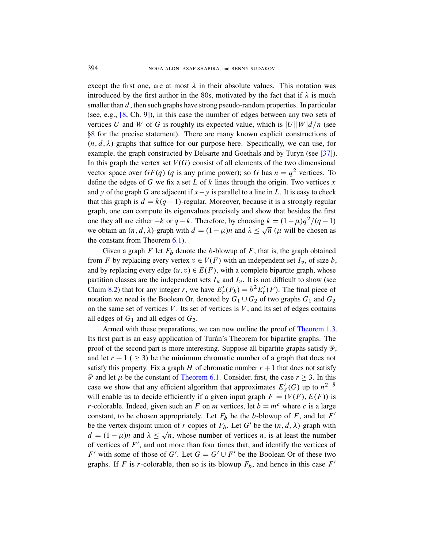except the first one, are at most  $\lambda$  in their absolute values. This notation was introduced by the first author in the 80s, motivated by the fact that if  $\lambda$  is much smaller than  $d$ , then such graphs have strong pseudo-rand[om](#page-40-9) properties. In particular (see, e.g., [8, Ch. 9]), in this case the number of edges between any two sets of vertices U and W of G is roughly its expected value, which is  $|U||W|d/n$  (see 8 for the precise statement). There are many known explicit constructions of  $(n, d, \lambda)$ -graphs that suffice for our purpose here. Specifically, we can use, for example, the graph constructed by Delsarte and Goethals and by Turyn (see [37]). In this graph the vertex set  $V(G)$  consist of all elements of the two dimensional vector space over  $GF(q)$  (q is any prime power); so G has  $n = q^2$  vertices. To define the edges of G we fix a set L of k lines through the origin. Two vertices  $x$ and y [of th](#page-23-0)e graph G are adjacent if  $x-y$  is parallel to a line in L. It is easy to check that this graph is  $d = k(q - 1)$ -regular. Moreover, because it is a strongly regular graph, one can compute its eigenvalues precisely and show that besides the first one they all are either  $-k$  or  $q - k$ . Therefore, by choosing  $k = (1 - \mu)q^2/(q - 1)$ we obtain an  $(n, d, \lambda)$ -graph with  $d = (1 - \mu)n$  and  $\lambda \leq \sqrt{n}$  ( $\mu$  will be chosen as the constant from Theorem 6.1).

Given a graph F let  $F_b$  denote the b-blowup of F, that is, the graph obtained from F by replacing every vertex  $v \in V(F)$  with an independent set  $I_v$ , of size b, and by replacing every edge  $(u, v) \in E(F)$ , with a complete bipartite graph, whose partition classes are the independent sets  $I_u$  and  $I_v$ [. It is not](#page-4-3) difficult to show (see Claim 8.2) that for any integer r, we have  $E'_r(F_b) = b^2 E'_r(F)$ . The final piece of notation we need is the Boolean Or, denoted by  $G_1 \cup G_2$  of two graphs  $G_1$  and  $G_2$ on the same set of vertices  $V$ . Its set of vertices is  $V$ , and its set of edges contains all edges of  $G_1$  and all edges of  $G_2$ .

Ar[med with these](#page-23-0) preparations, we can now outline the proof of Theorem 1.3. Its first part is an easy application of Turán's Theorem for bipartite graphs. The proof of the second part is more interesting. Suppose all bipartite graphs satisfy  $\mathcal{P}$ , and let  $r + 1$  (  $\geq$  3) be the minimum chromatic number of a graph that does not satisfy this property. Fix a graph H of chromatic number  $r + 1$  that does not satisfy  $\mathcal P$  and let  $\mu$  be the constant of Theorem 6.1. Consider, first, the case  $r \geq 3$ . In this case we show that any efficient algorithm that approximates  $E'_{\mathcal{P}}(G)$  up to  $n^{2-\delta}$ will enable us to decide efficiently if a given input graph  $F = (V(F), E(F))$  is r-colorable. Indeed, given such an F on m vertices, let  $b = m<sup>c</sup>$  where c is a large constant, to be chosen appropriately. Let  $F_b$  be the b-blowup of F, and let  $F'$ be the vertex disjoint union of r copies of  $F_b$ . Let G' be the  $(n, d, \lambda)$ -graph with  $d = (1 - \mu)n$  and  $\lambda \leq \sqrt{n}$ , whose number of vertices n, is at least the number of vertices of  $F'$ , and not more than four times that, and identify the vertices of  $F'$  with some of those of G'. Let  $G = G' \cup F'$  be the Boolean Or of these two graphs. If F is r-colorable, then so is its blowup  $F_b$ , and hence in this case  $F'$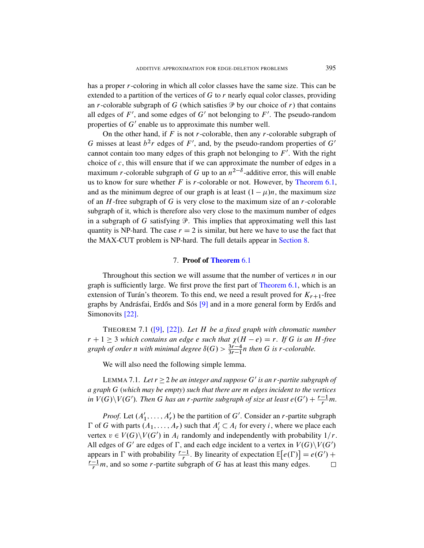has a proper r-coloring in which all color classes have the same size. This can be extended to a partition of the vertices of G to  $r$  nearly equal color classes, providing an r-colorable subgraph of G (which satisfies  $\mathcal P$  by our choice of r) that contains all edges of  $F'$ , and some edges of  $G'$  not belonging to  $F'$ . The pseudo-random properties of  $G'$  enable us to approximate this number well.

On the other hand, if  $F$  is not r-colorabl[e, then any](#page-23-0) r-colorable subgraph of G misses at least  $b<sup>2</sup>r$  edges of F', and, by the pseudo-random properties of G' cannot contain too many edges of this graph not belonging to  $F'$ . With the right choice of  $c$ , this will ensure that if we can approximate the number of edges in a maximum *r*-colorable subgraph of G up to an  $n^{2-\delta}$ -additive error, this will enable us to know for sure whether  $F$  is  $r$ -colorable or not. However, by Theorem 6.1, and as the minimum degree of our grap[h is at leas](#page-33-0)t  $(1 - \mu)n$ , the maximum size of an  $H$ -free subgraph of  $G$  is very close to the maximum size of an  $r$ -colorable subgraph of it, wh[ich is therefore](#page-23-0) also very close to the maximum number of edges in a subgraph of G satisfying  $\mathcal P$ . This implies that approximating well this last quantity is NP-hard. The case  $r = 2$  is similar, but here we have to use the fact that the MAX-CUT problem is NP-har[d. The full de](#page-23-0)tails appear in Section 8.

#### 7. Proof of Theorem 6.1

<span id="page-25-1"></span><span id="page-25-0"></span>[Thr](#page-39-12)oughout this section we will assume that the number of vertices  $n$  in our [gra](#page-38-4)ph is sufficiently large. We first prove the first part of Theorem 6.1, which is an extension of Turán's theorem. To this end, we need a result proved for  $K_{r+1}$ -free graphs by Andrásfai, Erdős and Sós  $[9]$  and in a more general form by Erdős and Simonovits [22].

<span id="page-25-2"></span>THEOREM 7.1 ([9], [22]). *Let* H *be a fixed graph with chromatic number*  $r + 1 \geq 3$  *which contains an edge e such that*  $\chi(H - e) = r$ *. If* G *is an* H-free *graph of order n with minimal degree*  $\delta(G) > \frac{3r-4}{3r-1}n$  *then* G *is r*-colorable.

We will also need the following simple lemma.

LEMMA 7.1. Let  $r \geq 2$  be an integer and suppose  $G'$  is an  $r$ -partite subgraph of *a graph* G (*which may be empty*) *such that there are* m *edges incident to the vertices in*  $V(G)\setminus V(G')$ . Then G has an *r*-partite subgraph of size at least  $e(G') + \frac{r-1}{r}m$ .

*Proof.* Let  $(A'_1, \ldots, A'_r)$  be the partition of G'. Consider an *r*-partite subgraph  $\Gamma$  of G with parts  $(A_1, ..., A_r)$  such that  $A'_i \subset A_i$  for every i, where we place each vertex  $v \in V(G) \setminus V(G')$  in  $A_i$  randomly and independently with probability  $1/r$ . All edges of G' are edges of  $\Gamma$ , and each edge incident to a vertex in  $V(G)\setminus V(G')$ appears in  $\Gamma$  with probability  $\frac{r-1}{r}$ . By linearity of expectation  $\mathbb{E}[e(\Gamma)] = e(G') +$  $\frac{r-1}{r}$ m, and so some r-partite subgraph of G has at least this many edges.  $\Box$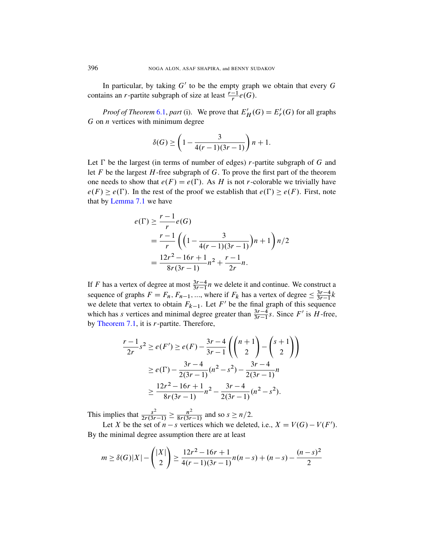In particular, by taking  $G'$  to be the empty graph we obtain that every  $G$ contains an *r*-partite subgraph of size at least  $\frac{r-1}{r}e(G)$ .

*Proof of Theorem* 6.1, *part* (i). We prove that  $E'_H(G) = E'_F(G)$  for all graphs  $G$  on  $n$  vertices with minimum degree

$$
\delta(G) \ge \left(1 - \frac{3}{4(r-1)(3r-1)}\right)n + 1.
$$

Let  $\Gamma$  be the largest (in terms of number of edges) r-partite subgraph of G and let  $F$  be the largest  $H$ -free subgraph of  $G$ . To prove the first part of the theorem one needs to show that  $e(F) = e(\Gamma)$ . As H is not r-colorable we trivially have  $e(F) \geq e(\Gamma)$ . In the rest of the proof we establish that  $e(\Gamma) \geq e(F)$ . First, note that by Lemma 7.1 we have

$$
e(\Gamma) \ge \frac{r-1}{r} e(G)
$$
  
=  $\frac{r-1}{r} \left( \left( 1 - \frac{3}{4(r-1)(3r-1)} \right) n + 1 \right) n/2$   
=  $\frac{12r^2 - 16r + 1}{8r(3r-1)} n^2 + \frac{r-1}{2r} n.$ 

If F has a vertex of degree at most  $\frac{3r-4}{3r-1}n$  we delete it and continue. We construct a sequence of graphs  $F = F_n$ ,  $F_{n-1}$ , ..., where if  $F_k$  has a vertex of degree  $\leq \frac{3r-4}{3r-1}$  $\frac{3r-4}{3r-1}k$ we delete that vertex to obtain  $F_{k-1}$ . Let F' be the final graph of this sequence which has s vertices and minimal degree greater than  $\frac{3r-4}{3r-1}s$ . Since F' is H-free, by Theorem 7.1, it is  $r$ -partite. Therefore,

$$
\frac{r-1}{2r}s^2 \ge e(F') \ge e(F) - \frac{3r-4}{3r-1} \left( \binom{n+1}{2} - \binom{s+1}{2} \right)
$$
  
 
$$
\ge e(\Gamma) - \frac{3r-4}{2(3r-1)} (n^2 - s^2) - \frac{3r-4}{2(3r-1)} n
$$
  
 
$$
\ge \frac{12r^2 - 16r + 1}{8r(3r-1)} n^2 - \frac{3r-4}{2(3r-1)} (n^2 - s^2).
$$

This implies that  $\frac{s^2}{2r(3r-1)} \ge \frac{n^2}{8r(3r-1)}$  and so  $s \ge n/2$ .

Let X be the set of  $n - s$  vertices which we deleted, i.e.,  $X = V(G) - V(F')$ . By the minimal degree assumption there are at least

$$
m \ge \delta(G)|X| - \binom{|X|}{2} \ge \frac{12r^2 - 16r + 1}{4(r - 1)(3r - 1)}n(n - s) + (n - s) - \frac{(n - s)^2}{2}
$$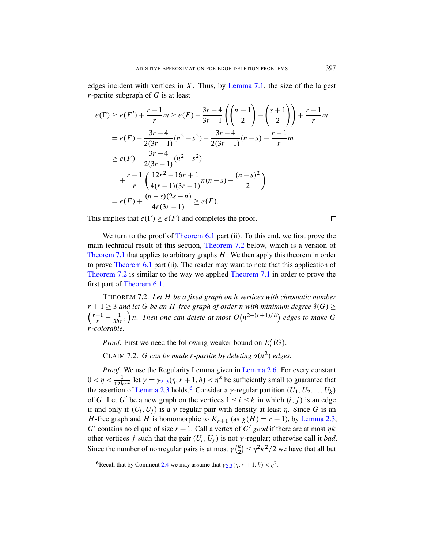edges incident with vertices in  $X$ . Thus, by Lemma 7.1, the size of the largest  $r$ -partite subgraph of  $G$  is at least

$$
e(\Gamma) \ge e(F') + \frac{r-1}{r} m \ge e(F) - \frac{3r-4}{3r-1} \left( \binom{n+1}{2} - \binom{s+1}{2} \right) + \frac{r-1}{r} m
$$
  
\n
$$
= e(F) - \frac{3r-4}{2(3r-1)} (n^2 - s^2) - \frac{3r-4}{2(3r-1)} (n-s) + \frac{r-1}{r} m
$$
  
\n
$$
\ge e(F) - \frac{3r-4}{2(3r-1)} (n^2 - s^2)
$$
  
\n
$$
+ \frac{r-1}{r} \left( \frac{12r^2 - 16r + 1}{4(r-1)(3r-1)} n(n-s) - \frac{(n-s)^2}{2} \right)
$$
  
\n
$$
= e(F) + \frac{(n-s)(2s-n)}{4r(3r-1)} \ge e(F).
$$

This implies that  $e(\Gamma) \geq e(F)$  [and com](#page-25-1)pletes the proof.

 $\Box$ 

<span id="page-27-0"></span>We turn to the proof of Theorem 6.1 part (ii). To this end, we first prove the main technical result of this section, Theorem 7.2 below, which is a version of Theorem 7.1 that applies to arbitrary graphs  $H$ . We then apply this theorem in order to prove Theorem 6.1 part (ii). The reader may want to note that this application of Theorem 7.2 is similar to the way we applied Theorem 7.1 in order to prove the first part of Theorem 6.1.

THEOREM 7.2. *Let* H *be a fixed graph on* h *vertices with chromatic number*  $r + 1 \geq 3$  and let G be an H-free graph of order n with minimum degree  $\delta(G) \geq 1$  $\left(\frac{r-1}{r} - \frac{1}{3h} \right)$  $\sqrt{3hr^2}$  $\int n$ . Then one [can delete a](#page-9-0)t most  $O(n^{2-(r+1)/h})$  edges to make G r*-[colo](#page-8-1)rable.*

*[P](#page-8-1)roof.* [F](#page-27-1)irst we need the following weaker bound on  $E'_r(G)$ .

CLAIM 7.2. G can be made *r*-partite by deleting  $o(n^2)$  edges.

<span id="page-27-1"></span>*Proof*. We use the Regularity Lemma given in [Lemma](#page-8-1) 2.6. For every constant  $0 < \eta < \frac{1}{12hr^2}$  let  $\gamma = \gamma_{2,3}(\eta, r+1, h) < \eta^2$  be sufficiently small to guarantee that the assertion of Lemma 2.3 holds.<sup>6</sup> Consider a y-regular partition  $(U_1, U_2, \ldots, U_k)$ of G. Let G' be a new graph on the vertices  $1 \le i \le k$  in which  $(i, j)$  is an edge if and only if  $(U_i, U_j)$  is a y-regular pair with density at least  $\eta$ . Since G is an H[-fre](#page-9-4)e graph and H is [hom](#page-8-1)omorphic to  $K_{r+1}$  (as  $\chi(H) = r + 1$ ), by Lemma 2.3, G' contains no clique of size  $r + 1$ . Call a vertex of G' good if there are at most  $\eta k$ other vertices j such that the pair  $(U_i, U_j)$  is not y-regular; otherwise call it *bad*. Since the number of nonregular pairs is at most  $\gamma(\frac{k}{2})$  $\binom{k}{2} \leq \eta^2 k^2/2$  we have that all but

<sup>&</sup>lt;sup>6</sup>Recall that by Comment 2.4 we may assume that  $\gamma_{2,3}(\eta, r+1, h) < \eta^2$ .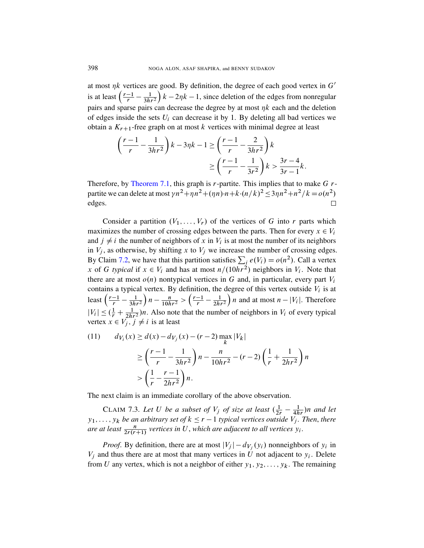at most  $\eta k$  vertices are good. By definition, the degree of each good vertex in  $G'$ is at least  $\left(\frac{r-1}{r} - \frac{1}{3h} \right)$  $\sqrt{3hr^2}$  $k - 2\eta k - 1$ , since deletion of the edges from nonregular pairs and sparse pairs can decrease the degree by at most  $\eta k$  each and the deletion of edges inside the sets  $U_i$  can decrease it by 1. By deleting all bad vertices we [obtain](#page-25-1) a  $K_{r+1}$ -free graph on at most k vertices with minimal degree at least

$$
\left(\frac{r-1}{r} - \frac{1}{3hr^2}\right)k - 3\eta k - 1 \ge \left(\frac{r-1}{r} - \frac{2}{3hr^2}\right)k
$$

$$
\ge \left(\frac{r-1}{r} - \frac{1}{3r^2}\right)k > \frac{3r-4}{3r-1}k.
$$

Therefore, by Theorem 7.1, this graph is  $r$ -partite. This implies that to make  $G$   $r$ partite we can delete at most  $\gamma n^2 + \eta n^2 + (\eta n) \cdot n + k \cdot (n/k)^2 \leq 3\eta n^2 + n^2/k = o(n^2)$ edges.  $\Box$ 

Consider a partition  $(V_1, \ldots, V_r)$  of the vertices of G into r parts which maximizes the number of crossing edges between the parts. Then for every  $x \in V_i$ and  $j \neq i$  the number of neighbors of x in  $V_i$  is at most the number of its neighbors in  $V_j$ , as otherwise, by shifting x to  $V_j$  we increase the number of crossing edges. By Claim 7.2, we have that this partition satisfies  $\sum_i e(V_i) = o(n^2)$ . Call a vertex x of G typical if  $x \in V_i$  and has at most  $n/(10hr^2)$  neighbors in  $V_i$ . Note that there are at most  $o(n)$  nontypical vertices in G and, in particular, every part  $V_i$ contains a typical vertex. By definition, the degree of this vertex outside  $V_i$  is at least  $\left(\frac{r-1}{r} - \frac{1}{3h} \right)$  $\sqrt{3hr^2}$  $\left(n - \frac{n}{10hr^2} > \left(\frac{r-1}{r} - \frac{1}{2hi}\right)\right)$  $\sqrt{2hr^2}$ ) *n* and at most  $n - |V_i|$ . Therefore  $|V_i| \leq (\frac{1}{r} + \frac{1}{2hr^2})n$ . Also note that the number of neighbors in  $V_i$  of every typical vertex  $x \in V_j$ ,  $j \neq i$  is at least

<span id="page-28-0"></span>(11) 
$$
d_{V_i}(x) \ge d(x) - d_{V_j}(x) - (r - 2) \max_{k} |V_k|
$$

$$
\ge \left(\frac{r-1}{r} - \frac{1}{3hr^2}\right) n - \frac{n}{10hr^2} - (r - 2) \left(\frac{1}{r} + \frac{1}{2hr^2}\right) n
$$

$$
> \left(\frac{1}{r} - \frac{r-1}{2hr^2}\right) n.
$$

The next claim is an immediate corollary of the above observation.

CLAIM 7.3. Let U be a subset of  $V_j$  of size at least  $(\frac{1}{2r} - \frac{1}{4hr})n$  and let  $y_1, \ldots, y_k$  *be an arbitrary set of*  $k \le r - 1$  *typical vertices outside*  $V_j$ *. Then, there are at least*  $\frac{n}{2r(r+1)}$  vertices in U, which are adjacent to all vertices  $y_i$ .

*Proof.* By definition, there are at most  $|V_j| - d_{V_j}(y_i)$  nonneighbors of  $y_i$  in  $V_j$  and thus there are at most that many vertices in U not adjacent to  $y_i$ . Delete from U any vertex, which is not a neighbor of either  $y_1, y_2, \ldots, y_k$ . The remaining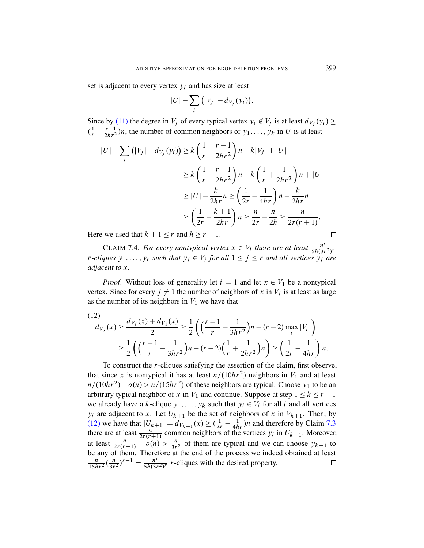set is adjacent to every vertex  $y_i$  and has size at least

$$
|U|-\sum_i(|V_j|-d_{V_j}(y_i)).
$$

Since by (11) the degree in  $V_j$  of every typical vertex  $y_i \notin V_j$  is at least  $d_{V_j}(y_i) \ge$  $(\frac{1}{r} - \frac{r-1}{2hr^2})$  $\frac{r-1}{2hr^2}$ )*n*, the number of common neighbors of  $y_1, \ldots, y_k$  in U is at least

$$
|U| - \sum_{i} (|V_j| - d_{V_j}(y_i)) \ge k \left(\frac{1}{r} - \frac{r-1}{2hr^2}\right) n - k|V_j| + |U|
$$
  
\n
$$
\ge k \left(\frac{1}{r} - \frac{r-1}{2hr^2}\right) n - k \left(\frac{1}{r} + \frac{1}{2hr^2}\right) n + |U|
$$
  
\n
$$
\ge |U| - \frac{k}{2hr} n \ge \left(\frac{1}{2r} - \frac{1}{4hr}\right) n - \frac{k}{2hr} n
$$
  
\n
$$
\ge \left(\frac{1}{2r} - \frac{k+1}{2hr}\right) n \ge \frac{n}{2r} - \frac{n}{2h} \ge \frac{n}{2r(r+1)}.
$$

Here we used that  $k + 1 \le r$  and  $h \ge r + 1$ .

CLAIM 7.4. For every nontypical vertex  $x \in V_i$  there are at least  $\frac{n^r}{5h(3r)}$ CLAIM 1.4. For every nontypical vertex  $x \in v_i$  there are at least  $\frac{1}{5h(3r^2)^r}$ <br>r-cliques  $y_1, \ldots, y_r$  such that  $y_j \in V_j$  for all  $1 \leq j \leq r$  and all vertices  $y_j$  are *adjacent to* x*.*

*Proof.* Without loss of generality let  $i = 1$  and let  $x \in V_1$  be a nontypical vertex. Since for every  $j \neq 1$  the number of neighbors of x in  $V_j$  is at least as large as the number of its neighbors in  $V_1$  we have that

$$
(12)
$$
  
\n
$$
d_{V_j}(x) \ge \frac{d_{V_j}(x) + d_{V_1}(x)}{2} \ge \frac{1}{2} \left( \left( \frac{r-1}{r} - \frac{1}{3hr^2} \right) n - (r-2) \max_i |V_i| \right)
$$
  
\n
$$
\ge \frac{1}{2} \left( \left( \frac{r-1}{r} - \frac{1}{3hr^2} \right) n - (r-2) \left( \frac{1}{r} + \frac{1}{2hr^2} \right) n \right) \ge \left( \frac{1}{2r} - \frac{1}{4hr} \right) n.
$$

To construct the r-cliques satisfying the assertion of the claim, first observe, that since x is nontypical it has at least  $n/(10hr^2)$  nei[ghbo](#page-28-0)rs in  $V_1$  and at least  $n/(10hr^2) - o(n) > n/(15hr^2)$  of these neighbors are typical. Choose  $y_1$  to be an arbitrary typical neighbor of x in  $V_1$  and continue. Suppose at step  $1 \le k \le r - 1$ we already have a k-clique  $y_1, \ldots, y_k$  such that  $y_i \in V_i$  for all i and all vertices  $y_i$  are adjacent to x. Let  $U_{k+1}$  be the set of neighbors of x in  $V_{k+1}$ . Then, by (12) we have that  $|U_{k+1}| = d_{V_{k+1}}(x) \geq (\frac{1}{2r} - \frac{1}{4hr})n$  and therefore by Claim 7.3 there are at least  $\frac{n}{2r(r+1)}$  common neighbors of the vertices  $y_i$  in  $U_{k+1}$ . Moreover, at least  $\frac{n}{2r(r+1)} - o(n) > \frac{n}{3r^2}$  of them are typical and we can choose  $y_{k+1}$  to be any of them. Therefore at the end of the process we indeed obtained at least  $\frac{n}{3r^2}$ )<sup>r-1</sup> =  $\frac{n^r}{5h(3r)}$  $\frac{n}{15hr^2}(\frac{n}{3r}$ n  $\frac{n'}{5h(3r^2)^r}$  r-cliques with the desired property.  $\Box$ 

 $\Box$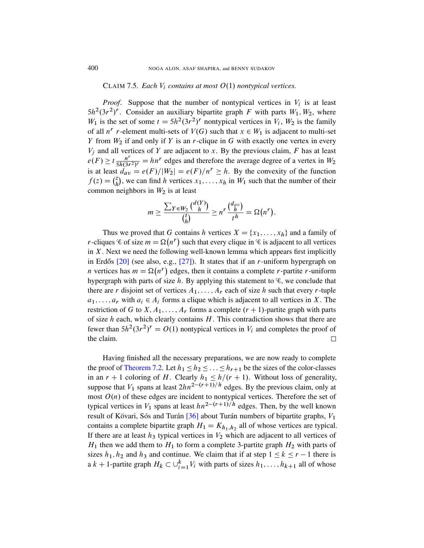#### CLAIM 7.5. *Each*  $V_i$  *contains at most*  $O(1)$  *nontypical vertices.*

*Proof.* Suppose that the number of nontypical vertices in  $V_i$  is at least  $5h^2(3r^2)^r$ . Consider an auxiliary bipartite graph F with parts  $W_1, W_2$ , where  $W_1$  is the set of some  $t = 5h^2(3r^2)^r$  nontypical vertices in  $V_i$ ,  $W_2$  is the family of all  $n^r$  r-element multi-sets of  $V(G)$  such that  $x \in W_1$  is adjacent to multi-set Y from  $W_2$  if and only if Y is an r-clique in G with exactly one vertex in every  $V_i$  and all vertices of Y are adjacent to x. By the previous claim, F has at least  $e(F) \geq t \frac{n^r}{5h(3r)}$  $\frac{n^r}{5h(3r^2)^r} = hn^r$  edges and therefore the average degree of a vertex in  $W_2$ is at least  $d_{av} = e(F) / |W_2| = e(F) / n^r \ge h$ . By the convexity of the function  $f(z) = \binom{z}{h}$  $\zeta_h^z$ , we can find h vertices  $x_1, \ldots, x_h$  in  $W_1$  such that the number of their common neighbors in  $W_2$  is at least

$$
m \geq \frac{\sum_{Y \in W_2} {\binom{d(Y)}{h}}}{\binom{t}{h}} \geq n^r \frac{\binom{d_{av}}{h}}{t^h} = \Omega(n^r).
$$

Thus we proved that G contains h vertices  $X = \{x_1, \ldots, x_h\}$  and a family of r-cliques  $\mathscr C$  of size  $m = \Omega(n^r)$  such that every clique in  $\mathscr C$  is adjacent to all vertices in  $X$ . Next we need the following well-known lemma which appears first implicitly in Erdős  $[20]$  (see also, e.g.,  $[27]$ ). It states that if an *r*-uniform hypergraph on *n* vertices has  $m = \Omega(n^r)$  edges, then it contains a complete *r*-partite *r*-uniform hypergraph with parts of size h. By applying this statement to  $\mathcal{C}$ , we conclude that there are r disjoint set of vertices  $A_1, \ldots, A_r$  each of size h such that every r-tuple  $a_1, \ldots, a_r$  with  $a_i \in A_i$  forms a clique which is adjacent to all vertices in X. The restriction of G to X,  $A_1, \ldots, A_r$  forms a complete  $(r + 1)$ -partite graph with parts [of s](#page-27-0)ize  $h$  each, which clearly contains  $H$ . This contradiction shows that there are fewer than  $5h^2(3r^2)^r = O(1)$  nontypical vertices in  $V_i$  and completes the proof of the claim.  $\Box$ 

Having finished all the necessary preparations, we are now ready to complete the proof of [Th](#page-40-10)eorem 7.2. Let  $h_1 \leq h_2 \leq \ldots \leq h_{r+1}$  be the sizes of the color-classes in an  $r + 1$  coloring of H. Clearly  $h_1 \leq h/(r + 1)$ . Without loss of generality, suppose that  $V_1$  spans at least  $2hn^{2-(r+1)/h}$  edges. By the previous claim, only at most  $O(n)$  of these edges are incident to nontypical vertices. Therefore the set of typical vertices in  $V_1$  spans at least  $hn^{2-(r+1)/h}$  edges. Then, by the well known result of Kövari, Sós and Turán  $[36]$  about Turán numbers of bipartite graphs,  $V_1$ contains a complete bipartite graph  $H_1 = K_{h_1,h_2}$  all of whose vertices are typical. If there are at least  $h_3$  typical vertices in  $V_2$  which are adjacent to all vertices of  $H_1$  then we add them to  $H_1$  to form a complete 3-partite graph  $H_2$  with parts of sizes  $h_1, h_2$  and  $h_3$  and continue. We claim that if at step  $1 \le k \le r - 1$  there is a  $k + 1$ -partite graph  $H_k \subset \bigcup_{i=1}^k V_i$  with parts of sizes  $h_1, \ldots, h_{k+1}$  all of whose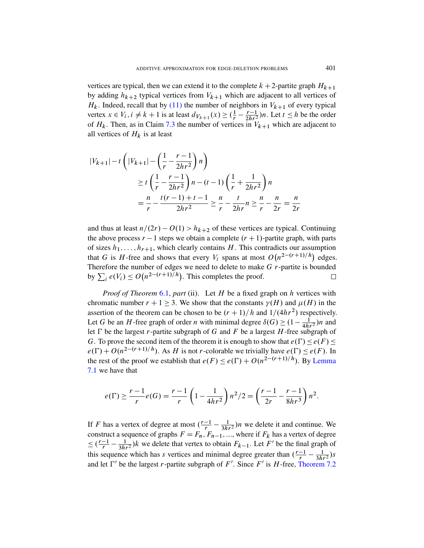vertices are typical, then we can extend it to the complete  $k + 2$ -partite graph  $H_{k+1}$ by adding  $h_{k+2}$  typical vertices from  $V_{k+1}$  which are adjacent to all vertices of  $H_k$ . Indeed, recall that by (11) the number of neighbors in  $V_{k+1}$  of every typical vertex  $x \in V_i$ ,  $i \neq k+1$  is at least  $d_{V_{k+1}}(x) \geq (\frac{1}{r} - \frac{r-1}{2hr^2})$  $\frac{r-1}{2hr^2}$ )*n*. Let  $t \leq h$  be the order of  $H_k$ . Then, as in Claim 7.3 the number of vertices in  $V_{k+1}$  which are adjacent to all vertices of  $H_k$  is at least

$$
|V_{k+1}| - t \left( |V_{k+1}| - \left(\frac{1}{r} - \frac{r-1}{2hr^2}\right)n \right)
$$
  
\n
$$
\geq t \left(\frac{1}{r} - \frac{r-1}{2hr^2}\right)n - (t-1) \left(\frac{1}{r} + \frac{1}{2hr^2}\right)n
$$
  
\n
$$
= \frac{n}{r} - \frac{t(r-1) + t - 1}{2hr^2} \geq \frac{n}{r} - \frac{t}{2hr} - \frac{n}{r} - \frac{n}{2r} = \frac{n}{2r}
$$

and thus at least  $n/(2r) - O(1) > h_{k+2}$  of these vertices are typical. Continuing the above process  $r - 1$  steps we obtain a complete  $(r + 1)$ -partite graph, with parts o[f siz](#page-23-0)es  $h_1, \ldots, h_{r+1}$ , which clearly contains H. This contradicts our assumption that G is H-free and shows that every  $V_i$  spans at most  $O(n^{2-(r+1)/h})$  edges. Therefore the number of edges we need to delete to make  $G$  r-partite is bounded by  $\sum_i e(V_i) \leq O\left(n^{2-(r+1)/h}\right)$ . This completes the proof.  $\Box$ 

*Proof of Theorem* 6.1, *part* (ii). Let H be a fixed graph on h vertices with chromatic number  $r + 1 > 3$ . We show that the constants  $\gamma(H)$  and  $\mu(H)$  in the assertion of the theorem can be chosen to be  $(r + 1)/h$  [and](#page-25-2)  $1/(4hr^2)$  respectively. Let G be an H-free graph of order *n* with minimal degree  $\delta(G) \geq (1 - \frac{1}{4h})$  $\frac{1}{4hr^2}$ )*n* and let  $\Gamma$  be the largest r-partite subgraph of G and F be a largest H-free subgraph of G. To prove the second item of the theorem it is enough to show that  $e(\Gamma) \leq e(F) \leq$  $e(\Gamma) + O(n^{2-(r+1)/h})$ . As H is not r-colorable we trivially have  $e(\Gamma) \leq e(F)$ . In the rest of the proof we establish that  $e(F) \leq e(\Gamma) + O(n^{2-(r+1)/h})$ . By Lemma 7.1 we have that

$$
e(\Gamma) \ge \frac{r-1}{r}e(G) = \frac{r-1}{r}\left(1 - \frac{1}{4hr^2}\right)n^2/2 = \left(\frac{r-1}{2r} - \frac{r-1}{8hr^3}\right)n^2.
$$

If F has a vertex of degree at most  $\left(\frac{r-1}{r} - \frac{1}{3h}\right)$  $\frac{1}{3hr^2}$ )*n* we delete it and continue. We construct a sequence of graphs  $F = F_n$ ,  $F_{n-1}$ , ..., where if  $F_k$  has a vertex of degree  $\leq \left(\frac{r-1}{r} - \frac{1}{3h}\right)$  $\frac{1}{3hr^2}$ )k we delete that vertex to obtain  $F_{k-1}$ . Let F' be the final graph of this sequence which has s vertices and minimal degree greater than  $\left(\frac{r-1}{r} - \frac{1}{3h}\right)$  $rac{1}{3hr^2}$ )s and let  $\Gamma'$  be the largest r-partite subgraph of F'. Since F' is H-free, Theorem 7.2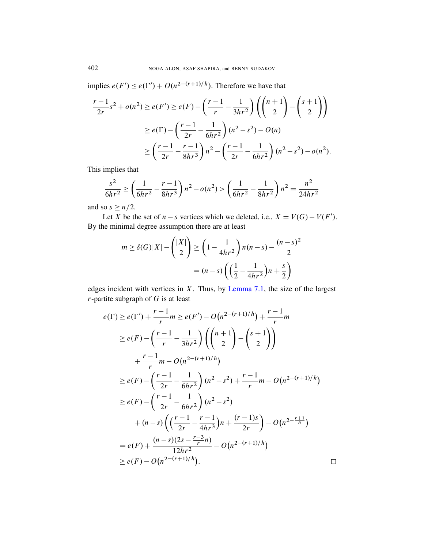implies  $e(F') \leq e(\Gamma') + O(n^{2-(r+1)/h})$ . Therefore we have that

$$
\frac{r-1}{2r}s^2 + o(n^2) \ge e(F') \ge e(F) - \left(\frac{r-1}{r} - \frac{1}{3hr^2}\right) \left(\binom{n+1}{2} - \binom{s+1}{2}\right)
$$

$$
\ge e(\Gamma) - \left(\frac{r-1}{2r} - \frac{1}{6hr^2}\right)(n^2 - s^2) - O(n)
$$

$$
\ge \left(\frac{r-1}{2r} - \frac{r-1}{8hr^3}\right)n^2 - \left(\frac{r-1}{2r} - \frac{1}{6hr^2}\right)(n^2 - s^2) - o(n^2).
$$

This implies that

$$
\frac{s^2}{6hr^2} \ge \left(\frac{1}{6hr^2} - \frac{r-1}{8hr^3}\right) n^2 - o(n^2) > \left(\frac{1}{6hr^2} - \frac{1}{8hr^2}\right) n^2 = \frac{n^2}{24hr^2}
$$

and so  $s \geq n/2$ .

Let X be the set of  $n - s$  vertices which we deleted, i.e.,  $X = V(G) - V(F')$ . By the minimal degree assumption there are at least

$$
m \ge \delta(G)|X| - \binom{|X|}{2} \ge \left(1 - \frac{1}{4hr^2}\right)n(n-s) - \frac{(n-s)^2}{2}
$$

$$
= (n-s)\left(\left(\frac{1}{2} - \frac{1}{4hr^2}\right)n + \frac{s}{2}\right)
$$

edges incident with vertices in  $X$ . Thus, by Lemma 7.1, the size of the largest  $r$ -partite subgraph of  $G$  is at least

$$
e(\Gamma) \ge e(\Gamma') + \frac{r-1}{r} m \ge e(F') - O(n^{2-(r+1)/h}) + \frac{r-1}{r} m
$$
  
\n
$$
\ge e(F) - \left(\frac{r-1}{r} - \frac{1}{3hr^2}\right) \left(\binom{n+1}{2} - \binom{s+1}{2}\right)
$$
  
\n
$$
+ \frac{r-1}{r} m - O(n^{2-(r+1)/h})
$$
  
\n
$$
\ge e(F) - \left(\frac{r-1}{2r} - \frac{1}{6hr^2}\right) (n^2 - s^2) + \frac{r-1}{r} m - O(n^{2-(r+1)/h})
$$
  
\n
$$
\ge e(F) - \left(\frac{r-1}{2r} - \frac{1}{6hr^2}\right) (n^2 - s^2)
$$
  
\n
$$
+ (n - s) \left(\left(\frac{r-1}{2r} - \frac{r-1}{4hr^3}\right)n + \frac{(r-1)s}{2r}\right) - O(n^{2-\frac{r+1}{h}})
$$
  
\n
$$
= e(F) + \frac{(n-s)(2s - \frac{r-3}{r}n)}{12hr^2} - O(n^{2-(r+1)/h})
$$
  
\n
$$
\ge e(F) - O(n^{2-(r+1)/h}).
$$

 $\Box$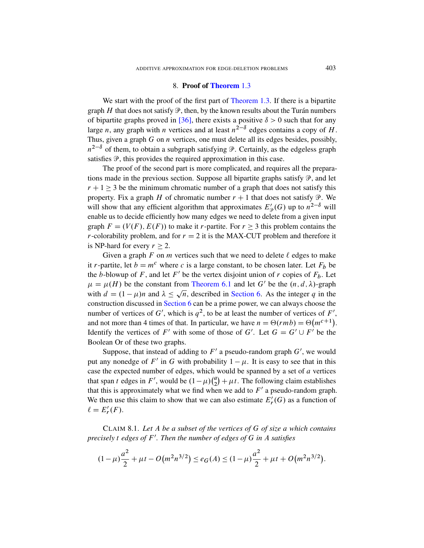#### 8. Proof of Theorem 1.3

<span id="page-33-0"></span>We start with the proof of the first part of Theorem 1.3. If there is a bipartite graph H that does not satisfy  $\mathcal{P}$ , then, by the known results about the Turán numbers of bipartite graphs proved in [36], there exists a positive  $\delta > 0$  such that for any large n, any graph with n vertices and at least  $n^{2-\delta}$  edges contains a copy of H. Thus, given a graph  $G$  on  $n$  vertices, one must delete all its edges besides, possibly,  $n^{2-\delta}$  of them, to obtain a subgraph satisfying  $\mathcal P$ . Certainly, as the edgeless graph satisfies  $\mathcal{P}$ , this provides the required approximation in this case.

The proof of the second part is more complicated, and requires all the preparations made in the previous section. Suppose all bipartite graphs satisfy  $\mathcal{P}$ , and let  $r + 1 \geq 3$  be the minimum chromatic number of a graph that does not satisfy this property. Fix a graph H of chromatic number  $r + 1$  that does not satisfy  $\mathcal{P}$ . We will show that any efficient algorithm that approximates  $E'_{\mathcal{P}}(G)$  up to  $n^{2-\delta}$  will enable us to decide efficiently how many edges we need to delete from a given input graph  $F = (V(F), E(F))$  to make it r-partite. For  $r \ge 3$  this problem contains the r-colorabilit[y problem, and](#page-23-0) for  $r = 2$  it is the MAX-CUT problem and therefore it is NP-hard for every  $r \geq 2$  $r \geq 2$ .

[Given a](#page-22-0) graph F on m vertices such that we need to delete  $\ell$  edges to make it r-partite, let  $b = m^c$  where c is a large constant, to be chosen later. Let  $F_b$  be the b-blowup of F, and let F' be the vertex disjoint union of r copies of  $F_b$ . Let  $\mu = \mu(H)$  be the constant from Theorem 6.1 and let G' be the  $(n, d, \lambda)$ -graph with  $d = (1 - \mu)n$  and  $\lambda \le \sqrt{n}$ , described in Section 6. As the integer q in the construction discussed in Section 6 can be a prime power, we can always choose the number of vertices of G', which is  $q^2$ , to be at least the number of vertices of F', and not more than 4 times of that. In particular, we have  $n = \Theta(rmb) = \Theta(m^{c+1})$ . Identify the vertices of F' with some of those of G'. Let  $G = G' \cup F'$  be the Boolean Or of these two graphs.

<span id="page-33-1"></span>Suppose, that instead of adding to  $F'$  a pseudo-random graph  $G'$ , we would put any nonedge of F' in G with probability  $1 - \mu$ . It is easy to see that in this case the expected number of edges, which would be spanned by a set of  $a$  vertices that span t edges in F', would be  $(1 - \mu)$  $\binom{a}{2}$  $\left(\frac{a}{2}\right) + \mu t$ . The following claim establishes that this is approximately what we find when we add to  $F'$  a pseudo-random graph. We then use this claim to show that we can also estimate  $E'_r(G)$  as a function of  $\ell = E'_r(F).$ 

CLAIM 8.1. *Let* A *be a subset of the vertices of* G *of size* a *which contains precisely* t *edges of* F 0 *. Then the number of edges of* G *in* A *satisfies*

$$
(1 - \mu)\frac{a^2}{2} + \mu t - O\big(m^2 n^{3/2}\big) \le e_G(A) \le (1 - \mu)\frac{a^2}{2} + \mu t + O\big(m^2 n^{3/2}\big).
$$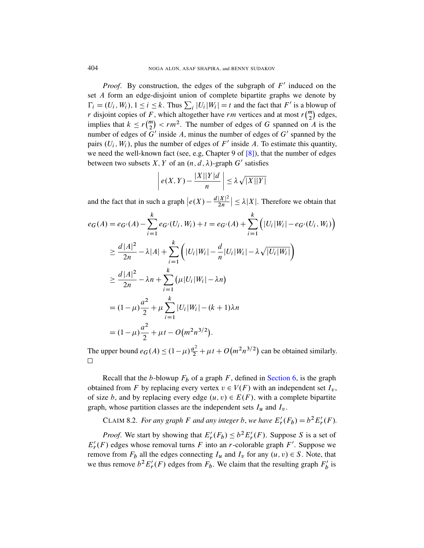*Proof.* By construction, the edges of the subgraph of  $F'$  induced on the set A form an edge-disjoint union of complete bipartite graphs we denote by  $\Gamma_i = (U_i, W_i), 1 \le i \le k$ . Thus  $\sum_i |U_i| W_i = t$  and the fact that  $F'$  is a blowup of r disjoint copies of F, which altogether have rm vertices and at most  $r\binom{m}{2}$  edges, implies that  $k \le r {m \choose 2} < rm^2$ . The number of edges of G spanned on A is the number of edges of  $G'$  inside A, minus the number of edges of  $G'$  spanned by the pairs  $(U_i, W_i)$ , plus the number of edges of F' inside A. To estimate this quantity, we need the well-known fact (see, e.g, Chapter 9 of  $[8]$ ), that the number of edges between two subsets X, Y of an  $(n, d, \lambda)$ -graph G' satisfies

$$
\left| e(X,Y) - \frac{|X||Y|d}{n} \right| \leq \lambda \sqrt{|X||Y|}
$$

and the fact that in such a graph  $\left| e(X) - \frac{d|X|^2}{2n} \right|$  $\left|\frac{|X|^2}{2n}\right| \leq \lambda |X|$ . Therefore we obtain that

$$
e_G(A) = e_{G'}(A) - \sum_{i=1}^{k} e_{G'}(U_i, W_i) + t = e_{G'}(A) + \sum_{i=1}^{k} (|U_i|W_i| - e_{G'}(U_i, W_i))
$$
  
\n
$$
\geq \frac{d|A|^2}{2n} - \lambda|A| + \sum_{i=1}^{k} (|U_i|W_i| - \frac{d}{n}|U_i|W_i| - \lambda\sqrt{|U_i|W_i|})
$$
  
\n
$$
\geq \frac{d|A|^2}{2n} - \lambda n + \sum_{i=1}^{k} (\mu|U_i|W_i| - \lambda n)
$$
  
\n
$$
= (1 - \mu)\frac{a^2}{2} + \mu \sum_{i=1}^{k} |U_i|W_i| - (k+1)\lambda n
$$
  
\n
$$
= (1 - \mu)\frac{a^2}{2} + \mu t - O(m^2 n^{3/2}).
$$

The upper bound  $e_G(A) \le (1 - \mu) \frac{a^2}{2} + \mu t + O(m^2 n^{3/2})$  can be obtained similarly.  $\Box$ 

Recall that the b-blowup  $F_b$  of a graph F, defined in Section 6, is the graph obtained from F by replacing every vertex  $v \in V(F)$  with an independent set  $I_v$ , of size b, and by replacing every edge  $(u, v) \in E(F)$ , with a complete bipartite graph, whose partition classes are the independent sets  $I_u$  and  $I_v$ .

CLAIM 8.2. *For any graph F and any integer b, we have*  $E'_r(F_b) = b^2 E'_r(F)$ .

*Proof.* We start by showing that  $E'_r(F_b) \leq b^2 E'_r(F)$ . Suppose S is a set of  $E'_r(F)$  edges whose removal turns F into an r-colorable graph F'. Suppose we remove from  $F_b$  all the edges connecting  $I_u$  and  $I_v$  for any  $(u, v) \in S$ . Note, that we thus remove  $b^2 E'_r(F)$  edges from  $F_b$ . We claim that the resulting graph  $F'_b$  $\frac{b}{b}$  is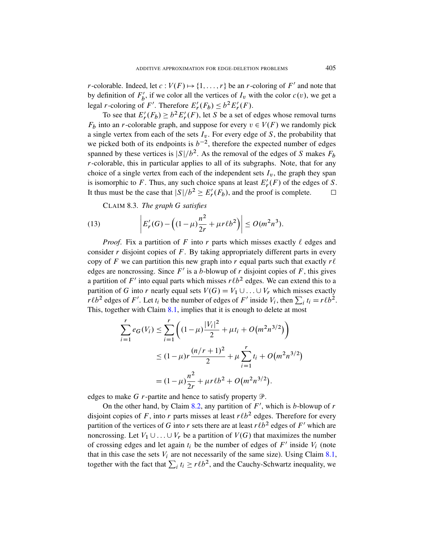*r*-colorable. Indeed, let  $c: V(F) \mapsto \{1, ..., r\}$  be an *r*-coloring of F' and note that by definition of  $F'_{h}$  $b'$ , if we color all the vertices of  $I_v$  with the color  $c(v)$ , we get a legal *r*-coloring of *F'*. Therefore  $E'_r(F_b) \leq b^2 E'_r(F)$ .

To see that  $E'_r(F_b) \ge b^2 E'_r(F)$ , let S be a set of edges whose removal turns  $F_b$  into an *r*-colorable graph, and suppose for every  $v \in V(F)$  we randomly pick a single vertex from each of the sets  $I_v$ . For every edge of S, the probability that we picked both of its endpoints is  $b^{-2}$ , therefore the expected number of edges spanned by these vertices is  $|S|/b^2$ . As the removal of the edges of S makes  $F_b$  $r$ -colorable, this in particular applies to all of its subgraphs. Note, that for any choice of a single vertex from each of the independent sets  $I<sub>v</sub>$ , the graph they span is isomorphic to F. Thus, any such choice spans at least  $E'_r(F)$  of the edges of S. It thus must be the case that  $|S|/b^2 \geq E'_r(F_b)$ , and the proof is complete.  $\Box$ 

CLAIM 8.3. *The graph* G *satisfies*

(13) 
$$
\left| E'_r(G) - \left( (1-\mu)\frac{n^2}{2r} + \mu r \ell b^2 \right) \right| \le O(m^2 n^3).
$$

*Proof.* Fix a partition of F into r parts which misses exactly  $\ell$  edges and consider  $r$  disjoint copies of  $F$ . By taking appropriately different parts in every cop[y of](#page-33-1) F we can partition this new graph into r equal parts such that exactly  $r\ell$ edges are noncrossing. Since  $F'$  is a b-blowup of r disjoint copies of F, this gives a partition of F' into equal parts which misses  $r\ell b^2$  edges. We can extend this to a partition of G into r nearly equal sets  $V(G) = V_1 \cup ... \cup V_r$  which misses exactly  $r\ell b^2$  edges of F'. Let  $t_i$  be the number of edges of F' inside  $V_i$ , then  $\sum_i t_i = r\ell b^2$ . This, together with Claim 8.1, implies that it is enough to delete at most

$$
\sum_{i=1}^{r} e_G(V_i) \le \sum_{i=1}^{r} \left( (1 - \mu) \frac{|V_i|^2}{2} + \mu t_i + O(m^2 n^{3/2}) \right)
$$
  
 
$$
\le (1 - \mu) r \frac{(n/r + 1)^2}{2} + \mu \sum_{i=1}^{r} t_i + O(m^2 n^{3/2})
$$
  
 
$$
= (1 - \mu) \frac{n^2}{2r} + \mu r \ell b^2 + O(m^2 n^{3/2}).
$$

edges to make G r-partite and hence to satisfy property  $\mathcal{P}$ .

On the other hand, by Claim 8.2, any partition of  $F'$ [, w](#page-33-1)hich is b-blowup of r disjoint copies of F, into r parts misses at least  $r/b^2$  edges. Therefore for every partition of the vertices of G into r sets there are at least  $r\ell b^2$  edges of F' which are noncrossing. Let  $V_1 \cup ... \cup V_r$  be a partition of  $V(G)$  that maximizes the number of crossing edges and let again  $t_i$  be the number of edges of  $F'$  inside  $V_i$  (note that in this case the sets  $V_i$  are not necessarily of the same size). Using Claim 8.1, together with the fact that  $\sum_i t_i \ge r \ell b^2$ , and the Cauchy-Schwartz inequality, we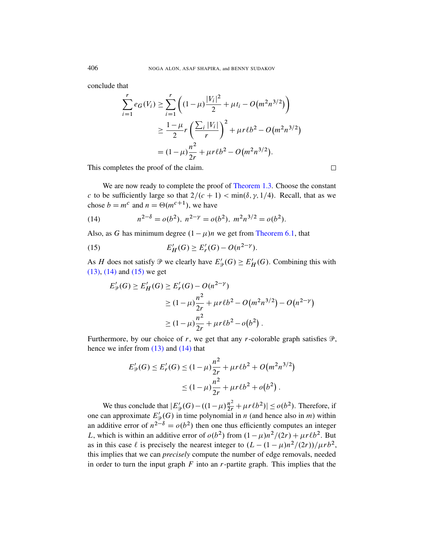conclude that

$$
\sum_{i=1}^{r} e_G(V_i) \ge \sum_{i=1}^{r} \left( (1 - \mu) \frac{|V_i|^2}{2} + \mu t_i - O(m^2 n^{3/2}) \right)
$$
  
 
$$
\ge \frac{1 - \mu}{2} r \left( \frac{\sum_i |V_i|}{r} \right)^2 + \mu r \ell b^2 - O(m^2 n^{3/2})
$$
  
=  $(1 - \mu) \frac{n^2}{2r} + \mu r \ell b^2 - O(m^2 n^{3/2}).$ 

This completes the proof of the claim.

We are now ready to comple[te the proof of](#page-23-0) Theorem 1.3. Choose the constant c to be sufficiently large so that  $2/(c + 1) < \min(\delta, \gamma, 1/4)$ . Recall, that as we chose  $b = m^c$  and  $n = \Theta(m^{c+1})$ , we have

(14) 
$$
n^{2-\delta} = o(b^2), \ n^{2-\gamma} = o(b^2), \ m^2 n^{3/2} = o(b^2).
$$

Also, as G has minimum degree  $(1 - \mu)n$  we get from Theorem 6.1, that

(15) 
$$
E'_H(G) \ge E'_F(G) - O(n^{2-\gamma}).
$$

As H does not satisfy  $\mathcal{P}$  we clearly have  $E'_{\mathcal{P}}(G) \geq E'_{H}(G)$ . Combining this with (13), (14) and (15) we get

$$
E'_{\mathcal{P}}(G) \ge E'_H(G) \ge E'_r(G) - O(n^{2-\gamma})
$$
  
 
$$
\ge (1-\mu)\frac{n^2}{2r} + \mu r \ell b^2 - O(m^2 n^{3/2}) - O(n^{2-\gamma})
$$
  
 
$$
\ge (1-\mu)\frac{n^2}{2r} + \mu r \ell b^2 - o(b^2).
$$

Furthermore, by our choice of r, we get that any r-colorable graph satisfies  $\mathcal{P}$ , hence we infer from (13) and (14) that

$$
E'_{\mathcal{P}}(G) \le E'_r(G) \le (1 - \mu) \frac{n^2}{2r} + \mu r \ell b^2 + O(m^2 n^{3/2})
$$
  
 
$$
\le (1 - \mu) \frac{n^2}{2r} + \mu r \ell b^2 + o(b^2).
$$

We thus conclude that  $|E'_{\mathcal{P}}(G) - ((1 - \mu)\frac{n^2}{2r} + \mu r \ell b^2)| \le o(b^2)$ . Therefore, if one can approximate  $E_{\mathcal{D}}(G)$  in time polynomial in *n* (and hence also in *m*) within an additive error of  $n^{2-\delta} = o(b^2)$  then one thus efficiently computes an integer L, which is within an additive error of  $o(b^2)$  from  $(1 - \mu)n^2/(2r) + \mu r \ell b^2$ . But as in this case  $\ell$  is precisely the nearest integer to  $\frac{(L - (1 - \mu)n^2}{(2r)})}{\mu r b^2}$ , this implies that we can *precisely* compute the number of edge removals, needed in order to turn the input graph  $F$  into an  $r$ -partite graph. This implies that the

 $\Box$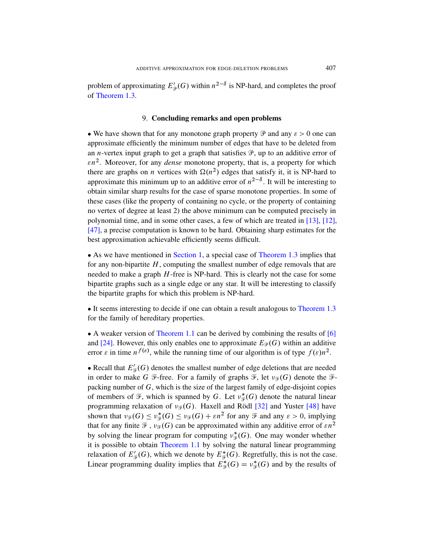<span id="page-37-0"></span>problem of approximating  $E'_{\mathcal{P}}(G)$  within  $n^{2-\delta}$  is NP-hard, and completes the proof of Theorem 1.3.

#### 9. Concluding remarks and open problems

• We have shown that for any monotone graph property  $\mathcal P$  and any  $\varepsilon > 0$  one can approximate efficiently the minimum number of edges that have to be deleted from an *n*-vertex input graph to get a graph that satisfies  $\mathcal{P}$ , up to an additive error of  $\epsilon n^2$ . Moreover, for any *dense* monotone property, that is, a property for which there are graphs on *n* vertices with  $\Omega(n^2)$  edges [that](#page-39-13) s[atis](#page-39-14)fy it, it is NP-hard to approximate this minimum up to an additive error of  $n^{2-\delta}$ . It will be interesting to obtain similar sharp results for the case of sparse monotone properties. In some of these [cases \(like](#page-2-0) the property of c[ontaining no cy](#page-4-3)cle, or the property of containing no vertex of degree at least 2) the above minimum can be computed precisely in polynomial time, and in some other cases, a few of which are treated in [13], [12], [47], a precise computation is known to be hard. Obtaining sharp estimates for the best approximation achievable efficiently seems difficult.

• As we have mentioned in Section 1, a specia[l case of](#page-4-3) Theorem 1.3 implies that for any non-bipartite  $H$ , computing the smallest number of edge removals that are needed to make a graph  $H$ -free is NP-hard. This is clearly not the case for some [bipartite graph](#page-3-0)s such as a single edge or any star. It will [be](#page-38-6) interesting to classify the bipartite graphs for which this problem is NP-hard.

• It seems interesting to decide if one can obtain a result analogous to Theorem 1.3 for the family of hereditary properties.

 A weaker version of Theorem 1.1 can be derived by combining the results of [6] and [24]. However, this only enables one to approximate  $E_{\mathcal{P}}(G)$  within an additive error  $\varepsilon$  in time  $n^{f(\varepsilon)}$ , while the ru[nnin](#page-40-4)g time of ou[r alg](#page-41-3)orithm is of type  $f(\varepsilon)n^2$ .

• Recall that  $E'_{\mathcal{F}}(G)$  denotes the smallest number of edge deletions that are needed in order to make G F-free. For a family of graphs  $\mathcal{F}$ , let  $\nu_{\mathcal{F}}(G)$  denote the Fpacking number of  $G$ , which is the size of the largest family of edge-disjoint copies o[f members of](#page-3-0)  $\mathcal{F}$ , which is spanned by G. Let  $v_{\mathcal{F}}^*$  $\frac{*}{\mathcal{F}}(G)$  denote the natural linear programming relaxation of  $v_{\mathcal{F}}(G)$ . Haxell and Rödl [32] and Yuster [48] have shown that  $\nu_{\mathscr{F}}(G) \leq \nu_{\mathscr{F}}^*$  $\mathcal{F}_{\mathcal{F}}(G) \leq \nu_{\mathcal{F}}(G) + \varepsilon n^2$  for any  $\mathcal{F}$  and any  $\varepsilon > 0$ , implying that for any finite  $\mathcal{F}$ ,  $v_{\mathcal{F}}(G)$  can be approximated within any additive error of  $\epsilon n^2$ by solving the linear program for computing  $v_{\mathcal{F}}^*$  ${}_{\mathcal{F}}^{*}(G)$ . One may wonder whether it is possible to obtain Theorem 1.1 by solving the natural linear programming relaxation of  $E'_{\mathcal{F}}(G)$ , which we denote by  $E^*_{\mathcal{F}}(G)$ . Regretfully, this is not the case. Linear programming duality implies that  $E_{\mathcal{F}}^*(G) = v_{\mathcal{F}}^*$  $\frac{*}{\mathcal{F}}(G)$  and by the results of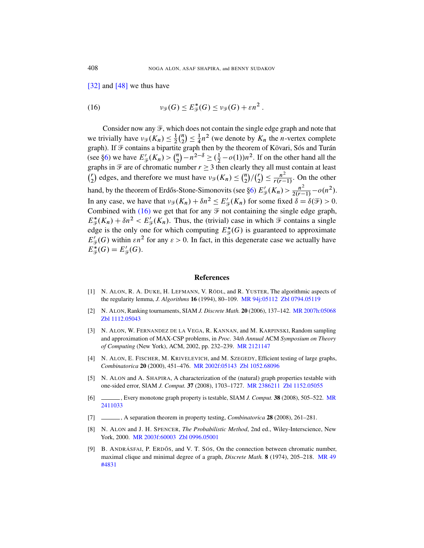[32] and [48] we thus have

(16) 
$$
\nu_{\mathscr{F}}(G) \leq E_{\mathscr{F}}^{*}(G) \leq \nu_{\mathscr{F}}(G) + \varepsilon n^{2}.
$$

Consider now any  $\mathcal{F}$ , which does not contain the single edge graph and note that we trivially have  $\nu_{\mathscr{F}}(K_n) \leq \frac{1}{2}$  $rac{1}{2}$  $\binom{n}{2}$  $\binom{n}{2} \leq \frac{1}{4}$  $\frac{1}{4}n^2$  (we denote by  $K_n$  the *n*-vertex complete graph). If  $\mathcal F$  contains a bipartite graph then by the theorem of Kövari, Sós and Turán (see §6) we have  $E'_{\mathcal{F}}(K_n) > {n \choose 2}$  $\binom{n}{2} - n^{2-\delta} \geq (\frac{1}{2} - o(1))n^2$ . If on the other hand all the graphs in  $\mathcal F$  are of chromatic number  $r \geq 3$  then clearly they all must contain at least  $\binom{r}{2}$  $\binom{r}{2}$  edges, and therefore we must have  $\nu_{\mathcal{F}}(K_n) \leq \binom{n}{2}$  $\binom{n}{2} / \binom{r}{2}$  $\binom{r}{2} \leq \frac{n^2}{r(r-1)}$ . On the other hand, by the theorem of Erdős-Stone-Simonovits (see §6)  $E'_{\mathcal{F}}(K_n) > \frac{n^2}{2(r-1)} - o(n^2)$ . In any case, we have that  $\nu_{\mathscr{F}}(K_n) + \delta n^2 \le E'_{\mathscr{F}}(K_n)$  for some fixed  $\delta = \delta(\mathscr{F}) > 0$ . Combined with  $(16)$  we get that for any  $\mathcal F$  not containing the single edge graph,  $E^*_{\mathcal{F}}(K_n) + \delta n^2 < E'_{\mathcal{F}}(K_n)$ . Thus, the (trivial) case in which  $\mathcal{F}$  contains a single edge is the only one for which computing  $E_{\mathcal{F}}^{*}(G)$  is guaranteed to approximate  $E_{\mathcal{F}}(G)$  within  $\epsilon n^2$  for any  $\epsilon > 0$ . In fact, in this degenerate case we actually have  $E^*_{\mathscr{F}}(G) = E'_{\mathscr{F}}(G).$ 

#### References

- <span id="page-38-3"></span><span id="page-38-2"></span>[1] N. ALON, R. A. DUKE, H. LEFMANN, V. RÖDL, and R. YUSTER, The algorithmic aspects of the regularity lemma, *J. Alg[orithms](http://www.ams.org/mathscinet-getitem?mr=2121147)* 16 (1994), 80–109. MR 94j:05112 Zbl 0794.05119
- <span id="page-38-0"></span>[2] N. ALON, Ranking tourname[nts, SIAM](http://www.emis.de/cgi-bin/MATH-item?1052.68096) *J. Discrete Math.* 20 (2006), 137–142. MR 2007h:05068 Zbl 1112.[05043](http://www.ams.org/mathscinet-getitem?mr=2002f:05143)
- <span id="page-38-1"></span>[3] N. ALON, W. FERNANDEZ DE LA VEGA, R. KANNAN, and M. KARPINSKI, Random sampling and approximation of MAX-CS[P problems, in](http://www.ams.org/mathscinet-getitem?mr=2386211) *Proc.* 34*[th Annu](http://www.emis.de/cgi-bin/MATH-item?1152.05055)al* ACM *Symposium on Theory of Computing* (New York), ACM, 2002, pp. 232–239. MR 212[1147](http://www.ams.org/mathscinet-getitem?mr=2411033)
- <span id="page-38-6"></span>[4] N. ALON, E. FISCHER, M. KRIVELEVICH, and M. SZEGEDY, Efficient testing of large graphs, *Combinatorica* 20 (2000), 451–476. MR 2002f:05143 Zbl 1052.68096
- <span id="page-38-5"></span>[5] N. ALON and A. SHAPIRA, A characterization of the (natural) graph properties testable with [one-](http://www.ams.org/mathscinet-getitem?mr=2003f:60003)[sided error, SIAM](http://www.emis.de/cgi-bin/MATH-item?0996.05001) *J. Comput.* 37 (2008), 1703–1727. MR 2386211 Zbl 1152.05055
- <span id="page-38-4"></span>[6] , Every monotone graph property is testable, SIAM *J. Comput.* 38 (2008), 505–522. MR 2411033
- [7] , A separation theorem in property testing, *Combinatorica* 28 (2008), 261–281.
- [8] N. ALON and J. H. SPENCER, *The Probabilistic Method*, 2nd ed., Wiley-Interscience, New York, 2000. MR 2003f:60003 Zbl 0996.05001
- [9] B. ANDRÁSFAI, P. ERDŐS, and V. T. SÓS, On the connection between chromatic number, maximal clique and minimal degree of a graph, *Discrete Math.* 8 (1974), 205–218. MR 49 #4831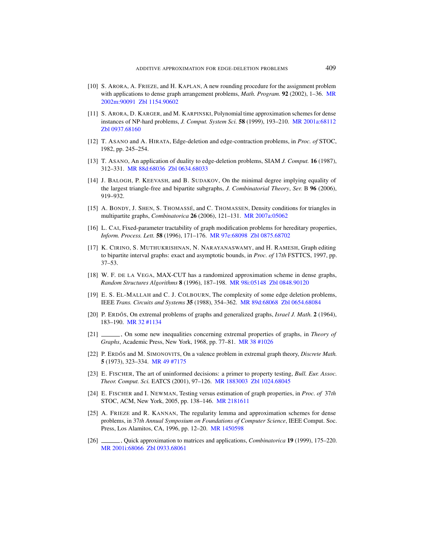- <span id="page-39-14"></span><span id="page-39-6"></span>[10] S. ARORA, A. FRIEZE, and H. KAPLAN, A new rounding procedure for the assignment problem with applications to dense graph arrangement problems, *Math. Program.* 92 (2002), 1–36. MR 2002m:90091 Zbl 1154.90602
- <span id="page-39-13"></span>[\[11\]](http://www.ams.org/mathscinet-getitem?mr=88d:68036) S. ARORA, D. KARGER, and M. KARPINSKI, Polynomial time approximation schemes for dense [instances of NP-h](http://www.emis.de/cgi-bin/MATH-item?0634.68033)ard problems, *J. Comput. System Sci.* 58 (1999), 193–210. MR 2001a:68112 Zbl 0937.68160
- <span id="page-39-3"></span>[12] T. ASANO and A. HIRATA, Edge-deletion and edge-contraction problems, in *Proc. of* STOC, 1982, pp. 245–254.
- <span id="page-39-2"></span>[13] T. ASANO, An application of duality to edge-deletion problems, SIAM *J. Comput.* 16 (1987), 312–331. MR 88d:68036 Zbl [0634.68033](http://www.ams.org/mathscinet-getitem?mr=2007a:05062)
- <span id="page-39-4"></span>[14] J. BALOGH, P. KEEVASH, and B. SUDAKOV, On the minimal degree implying equality of the largest trian[gle-free and bip](http://www.ams.org/mathscinet-getitem?mr=97e:68098)[artite subgraphs,](http://www.emis.de/cgi-bin/MATH-item?0875.68702) *J. Combinatorial Theory*, *Ser.* B 96 (2006), 919–932.
- <span id="page-39-0"></span>[15] A. BONDY, J. SHEN, S. THOMASSÉ, and C. THOMASSEN, Density conditions for triangles in multipartite graphs, *Combinatorica* 26 (2006), 121–131. MR 2007a:05062
- <span id="page-39-5"></span>[16] L. CAI, Fixed-parameter tractability of graph modification problems for hereditary properties, *Inform. Process. Lett.* 58 [\(1996\), 171–17](http://www.ams.org/mathscinet-getitem?mr=98i:05148)6. [MR 97e:6809](http://www.emis.de/cgi-bin/MATH-item?0848.90120)8 Zbl 0875.68702
- <span id="page-39-1"></span>[17] K. CIRINO, S. MUTHUKRISHNAN, N. NARAYANASWAMY, and H. RAMESH, Graph editing to bipartite interval graphs: [exact and asymp](http://www.ams.org/mathscinet-getitem?mr=89d:68068)[totic bounds, in](http://www.emis.de/cgi-bin/MATH-item?0654.68084) *Proc. of* 17*th* FSTTCS, 1997, pp. 37–53.
- <span id="page-39-11"></span>[\[18\]](http://www.ams.org/mathscinet-getitem?mr=32:1134) W. F. DE LA VEGA, MAX-CUT has a randomized approximation scheme in dense graphs, *Random Structures Algorithms* 8 (1996), 187–198. MR 98i:05148 Zbl 0848.90120
- <span id="page-39-12"></span>[19] E. S. EL-MALLAH and C. J. C[OLBOURN](http://www.ams.org/mathscinet-getitem?mr=38:1026), The complexity of some edge deletion problems, IEEE *Trans. Circuits and Systems* 35 (1988), 354–362. MR 89d:68068 Zbl 0654.68084
- <span id="page-39-9"></span>[20] [P. E](http://www.ams.org/mathscinet-getitem?mr=49:7175)RDŐS, On extremal problems of graphs and generalized graphs, *Israel J. Math.* 2 (1964), 183–190. MR 32 #1134
- <span id="page-39-10"></span>[21] , On some [new inequali](http://www.ams.org/mathscinet-getitem?mr=1883003)t[ies concerning e](http://www.emis.de/cgi-bin/MATH-item?1024.68045)xtremal properties of graphs, in *Theory of Graphs*, Academic Press, New York, 1968, pp. 77–81. MR 38 #1026
- <span id="page-39-8"></span>[22] P. ERDÓS and M. S[IMONOVITS](http://www.ams.org/mathscinet-getitem?mr=2181611), On a valence problem in extremal graph theory, *Discrete Math.* 5 (1973), 323–334. MR 49 #7175
- [23] E. FISCHER, The art of uninformed decisions: a primer to property testing, *Bull. Eur. Assoc. Theor. Comput. Sci.* [EATCS \(20](http://www.ams.org/mathscinet-getitem?mr=1450598)01), 97–126. MR 1883003 Zbl 1024.68045
- <span id="page-39-7"></span>[24] E. FISCHER and I. NEWMAN, Testing versus estimation of graph properties, in *Proc. of* 37*th* [STOC, A](http://www.emis.de/cgi-bin/MATH-item?0933.68061)CM, New York, 2005, pp. 138–146. MR 2181611
- [25] A. FRIEZE and R. KANNAN, The regularity lemma and approximation schemes for dense problems, in 37*th Annual Symposium on Foundations of Computer Science*, IEEE Comput. Soc. Press, Los Alamitos, CA, 1996, pp. 12–20. MR 1450598
- [26] , Quick approximation to matrices and applications, *Combinatorica* 19 (1999), 175–220. MR 2001i:68066 Zbl 0933.68061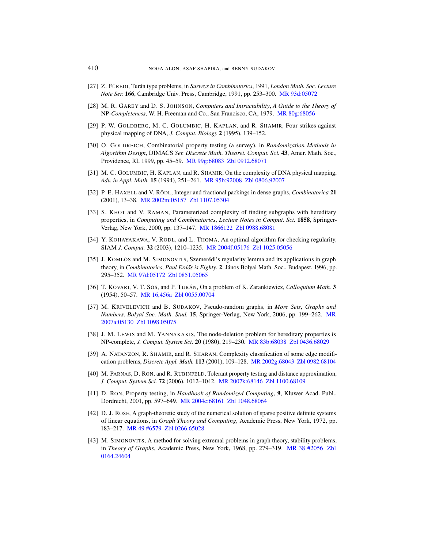- <span id="page-40-0"></span>[27] Z. FÜREDI, Turán type problems, in *Surveys in Combinatorics*, 1991, *London Math. Soc. Lecture Note Ser.* 166, Cambridge Univ. Press, Cambridge, 1991, pp. 253–300. MR 93d:05072
- [28] M. R. GAREY and D. S. JOHNSON, *Computers and Intractability*, *A Guide to the Theory of* NP*-Co[mpleteness](http://www.ams.org/mathscinet-getitem?mr=99g:68083)*, W. [H. Freeman and C](http://www.emis.de/cgi-bin/MATH-item?0912.68071)o., San Francisco, CA, 1979. MR 80g:68056
- <span id="page-40-1"></span>[29] P. W. GOLDBERG, M. C. GOLUMBIC, H. KAPLAN, and R. SHAMIR, Four strikes against physical mapp[ing of DNA,](http://www.ams.org/mathscinet-getitem?mr=95b:92008) *J. [Comput. Biology](http://www.emis.de/cgi-bin/MATH-item?0806.92007)* 2 (1995), 139–152.
- <span id="page-40-4"></span>[30] O. GOLDREICH, Combinatorial property testing (a survey), in *Randomization Methods in [Algorith](http://www.ams.org/mathscinet-getitem?mr=2002m:05157)[m Design](http://www.emis.de/cgi-bin/MATH-item?1107.05304)*, DIMACS *Ser. Discrete Math. Theoret. Comput. Sci.* 43, Amer. Math. Soc., Providence, RI, 1999, pp. 45–59. MR 99g:68083 Zbl 0912.68071
- <span id="page-40-3"></span>[31] M. C. GOLUMBIC, H. KAPLAN, and R. SHAMIR, On the complexity of DNA physical mapping, *Adv. in Appl. [Math.](http://www.ams.org/mathscinet-getitem?mr=1866122)* 15 (19[94\), 251–261.](http://www.emis.de/cgi-bin/MATH-item?0988.68081) MR 95b:92008 Zbl 0806.92007
- <span id="page-40-7"></span>[32] P. E. HAXELL and V. RÖDL, Integer and fractional packings in dense graphs, *Combinatorica* 21 (2001), 13–38. [MR 2002m:05157](http://www.ams.org/mathscinet-getitem?mr=2004f:05176) [Zbl 1107.05304](http://www.emis.de/cgi-bin/MATH-item?1025.05056)
- <span id="page-40-6"></span>[33] S. KHOT and V. RAMAN, Parameterized complexity of finding subgraphs with hereditary properties, in *Computing and Combinatorics*, *Lecture Notes in Comput. Sci.* 1858, Springer-[Verlag, New York](http://www.emis.de/cgi-bin/MATH-item?0851.05065), 2000, pp. 137–147. MR 1866122 Zbl 0988.68081
- <span id="page-40-10"></span>[34] Y. KOHAYAKAWA, V. RÖDL, and L. THOMA, An optimal algorithm for checking regularity, [SI](http://www.ams.org/mathscinet-getitem?mr=16,456a)AM *[J. Comput.](http://www.emis.de/cgi-bin/MATH-item?0055.00704)* 32 (2003), 1210–1235. MR 2004f:05176 Zbl 1025.05056
- <span id="page-40-9"></span>[35] J. KOMLÓS and M. SIMONOVITS, Szemerédi's regularity lemma and its applications in graph theory, in *Combinatorics*, *Paul Erdős is Eighty*, 2, János Bolyai [Math](http://www.ams.org/mathscinet-getitem?mr=2007a:05130). Soc., Budapest, 1996, pp. [295–](http://www.emis.de/cgi-bin/MATH-item?1098.05075)352. MR 97d:05172 Zbl 0851.05065
- <span id="page-40-2"></span>[36] T. KÖVARI, V. T. SÓS, and P. TURÁN, On a pro[blem of K. Zarank](http://www.emis.de/cgi-bin/MATH-item?0436.68029)iewicz, *Colloquium Math.* 3 (1954), 50–57. MR 16,456a Zb[l 0055.00704](http://www.ams.org/mathscinet-getitem?mr=83b:68038)
- [37] M. KRIVELEVICH and B. SUDAKOV, Pseudo-random graphs, in *More Sets*, *Graphs and Numbers*, *Bolyai Soc. Math. Stud.* 15[, Springer-Ve](http://www.ams.org/mathscinet-getitem?mr=2002g:68043)[rlag, New York,](http://www.emis.de/cgi-bin/MATH-item?0982.68104) 2006, pp. 199–262. MR 2007a:05130 Zbl 1098.05075
- <span id="page-40-5"></span>[38] J. M. LEWIS and M. Y[ANNAKAKIS](http://www.ams.org/mathscinet-getitem?mr=2007k:68146), [The node-deletio](http://www.emis.de/cgi-bin/MATH-item?1100.68109)n problem for hereditary properties is NP-complete, *J. Comput. System Sci.* 20 (1980), 219–230. MR 83b:68038 Zbl 0436.68029
- [39] A. N[ATANZON](http://www.ams.org/mathscinet-getitem?mr=2004c:68161), R. SHAMIR[, and R. S](http://www.emis.de/cgi-bin/MATH-item?1048.68064)HARAN, Complexity classification of some edge modification problems, *Discrete Appl. Math.* 113 (2001), 109–128. MR 2002g:68043 Zbl 0982.68104
- [\[40\]](http://www.ams.org/mathscinet-getitem?mr=49:6579) M. PARNAS, D. RON, and R. RUBINFELD, Tolerant property testing and distance approximation, *[J. Comput. Syst](http://www.emis.de/cgi-bin/MATH-item?0266.65028)em Sci.* 72 (2006), 1012–1042. MR 2007k:68146 Zbl 1100.68109
- <span id="page-40-8"></span>[41] D. RON, Property testing, in *Handbook of Randomized Computing*, 9, Kluwer Acad. Publ., Dordrecht, 2001, pp. 597–649. MR 2004c:68161 [Zbl 1048.680](http://www.ams.org/mathscinet-getitem?mr=38:2056)[64](http://www.emis.de/cgi-bin/MATH-item?0164.24604)
- [42] D. J. ROSE, A graph-theoretic study of the numerical solution of sparse positive definite systems of linear equations, in *Graph Theory and Computing*, Academic Press, New York, 1972, pp. 183–217. MR 49 #6579 Zbl 0266.65028
- [43] M. SIMONOVITS, A method for solving extremal problems in graph theory, stability problems, in *Theory of Graphs*, Academic Press, New York, 1968, pp. 279–319. MR 38 #2056 Zbl 0164.24604